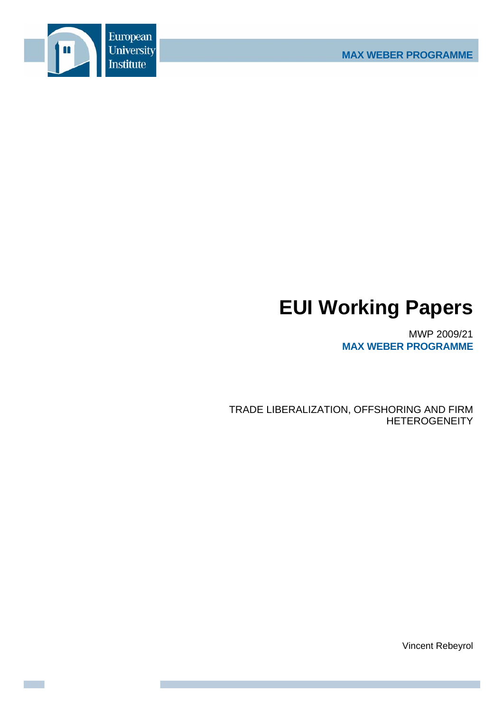

# **EUI Working Papers**

MWP 2009/21 **MAX WEBER PROGRAMME**

TRADE LIBERALIZATION, OFFSHORING AND FIRM **HETEROGENEITY** 

Vincent Rebeyrol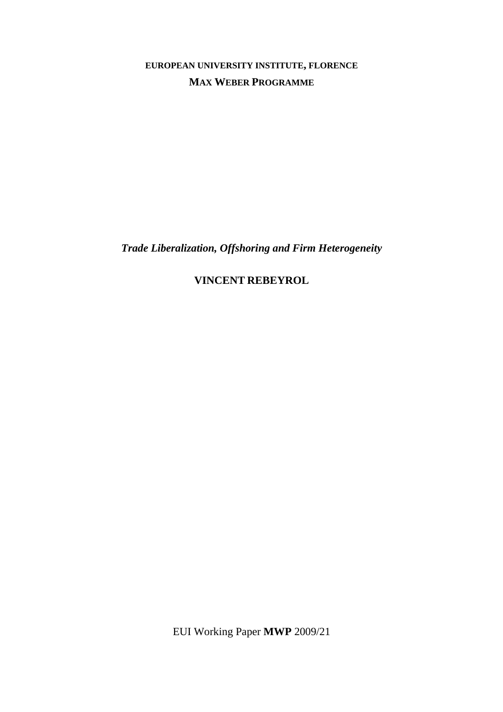**EUROPEAN UNIVERSITY INSTITUTE, FLORENCE MAX WEBER PROGRAMME**

*Trade Liberalization, Offshoring and Firm Heterogeneity* 

**VINCENT REBEYROL**

EUI Working Paper **MWP** 2009/21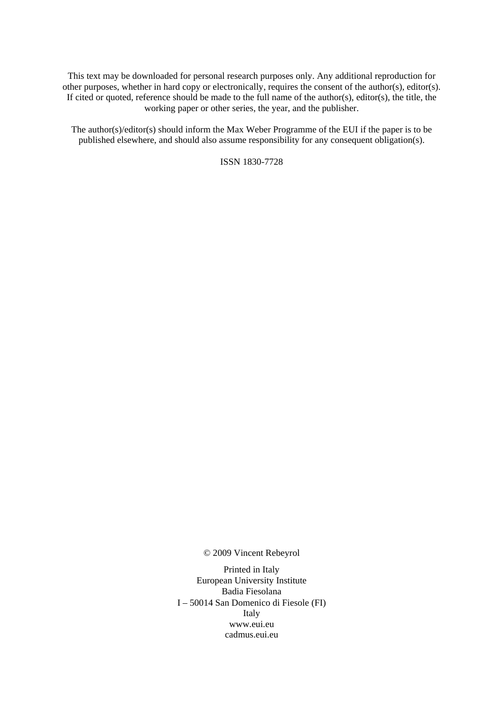This text may be downloaded for personal research purposes only. Any additional reproduction for other purposes, whether in hard copy or electronically, requires the consent of the author(s), editor(s). If cited or quoted, reference should be made to the full name of the author(s), editor(s), the title, the working paper or other series, the year, and the publisher.

The author(s)/editor(s) should inform the Max Weber Programme of the EUI if the paper is to be published elsewhere, and should also assume responsibility for any consequent obligation(s).

ISSN 1830-7728

© 2009 Vincent Rebeyrol

Printed in Italy European University Institute Badia Fiesolana I – 50014 San Domenico di Fiesole (FI) Italy [www.eui.eu](http://www.eui.eu/)  [cadmus.eui.eu](http://cadmus.eui.eu/dspace/index.jsp)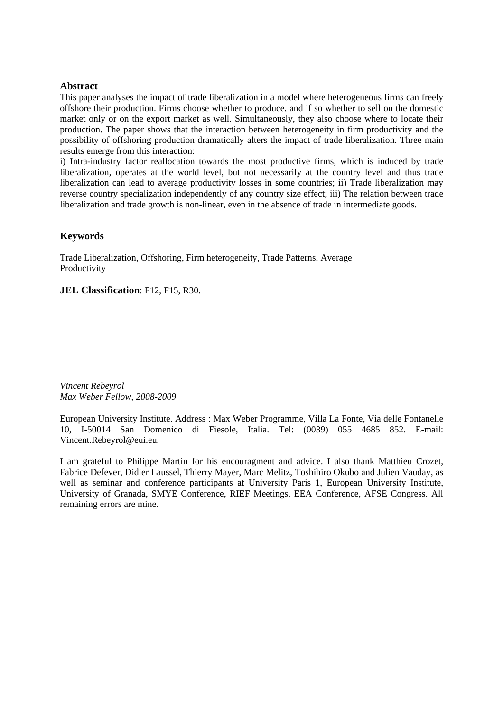#### **Abstract**

This paper analyses the impact of trade liberalization in a model where heterogeneous firms can freely offshore their production. Firms choose whether to produce, and if so whether to sell on the domestic market only or on the export market as well. Simultaneously, they also choose where to locate their production. The paper shows that the interaction between heterogeneity in firm productivity and the possibility of offshoring production dramatically alters the impact of trade liberalization. Three main results emerge from this interaction:

i) Intra-industry factor reallocation towards the most productive firms, which is induced by trade liberalization, operates at the world level, but not necessarily at the country level and thus trade liberalization can lead to average productivity losses in some countries; ii) Trade liberalization may reverse country specialization independently of any country size effect; iii) The relation between trade liberalization and trade growth is non-linear, even in the absence of trade in intermediate goods.

#### **Keywords**

Trade Liberalization, Offshoring, Firm heterogeneity, Trade Patterns, Average Productivity

**JEL Classification**: F12, F15, R30.

*Vincent Rebeyrol Max Weber Fellow, 2008-2009* 

European University Institute. Address : Max Weber Programme, Villa La Fonte, Via delle Fontanelle 10, I-50014 San Domenico di Fiesole, Italia. Tel: (0039) 055 4685 852. E-mail: [Vincent.Rebeyrol@eui.eu.](mailto:Nicolas.Berman@eui.eu)

I am grateful to Philippe Martin for his encouragment and advice. I also thank Matthieu Crozet, Fabrice Defever, Didier Laussel, Thierry Mayer, Marc Melitz, Toshihiro Okubo and Julien Vauday, as well as seminar and conference participants at University Paris 1, European University Institute, University of Granada, SMYE Conference, RIEF Meetings, EEA Conference, AFSE Congress. All remaining errors are mine.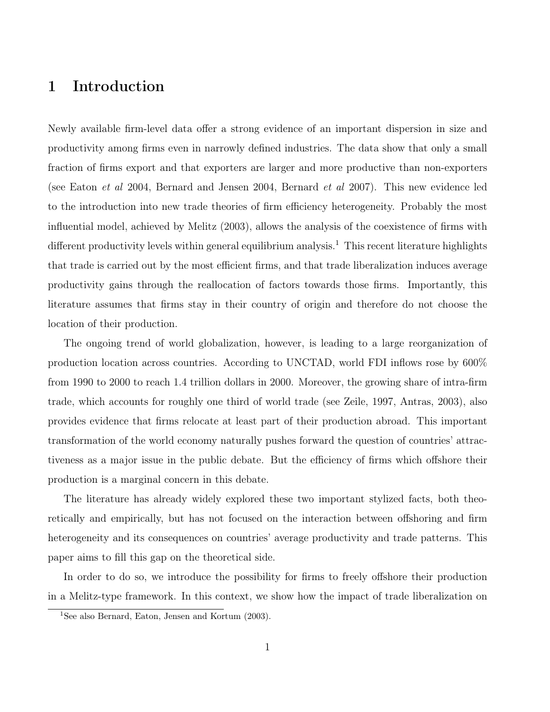### 1 Introduction

Newly available firm-level data offer a strong evidence of an important dispersion in size and productivity among firms even in narrowly defined industries. The data show that only a small fraction of firms export and that exporters are larger and more productive than non-exporters (see Eaton et al 2004, Bernard and Jensen 2004, Bernard et al 2007). This new evidence led to the introduction into new trade theories of firm efficiency heterogeneity. Probably the most influential model, achieved by Melitz (2003), allows the analysis of the coexistence of firms with different productivity levels within general equilibrium analysis.<sup>[1](#page-6-0)</sup> This recent literature highlights that trade is carried out by the most efficient firms, and that trade liberalization induces average productivity gains through the reallocation of factors towards those firms. Importantly, this literature assumes that firms stay in their country of origin and therefore do not choose the location of their production.

The ongoing trend of world globalization, however, is leading to a large reorganization of production location across countries. According to UNCTAD, world FDI inflows rose by 600% from 1990 to 2000 to reach 1.4 trillion dollars in 2000. Moreover, the growing share of intra-firm trade, which accounts for roughly one third of world trade (see Zeile, 1997, Antras, 2003), also provides evidence that firms relocate at least part of their production abroad. This important transformation of the world economy naturally pushes forward the question of countries' attractiveness as a major issue in the public debate. But the efficiency of firms which offshore their production is a marginal concern in this debate.

The literature has already widely explored these two important stylized facts, both theoretically and empirically, but has not focused on the interaction between offshoring and firm heterogeneity and its consequences on countries' average productivity and trade patterns. This paper aims to fill this gap on the theoretical side.

In order to do so, we introduce the possibility for firms to freely offshore their production in a Melitz-type framework. In this context, we show how the impact of trade liberalization on

<span id="page-6-0"></span><sup>&</sup>lt;sup>1</sup>See also Bernard, Eaton, Jensen and Kortum (2003).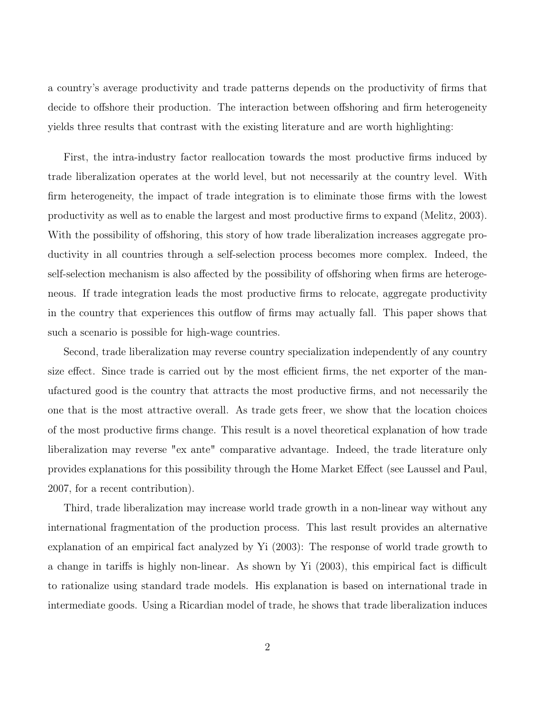a country's average productivity and trade patterns depends on the productivity of firms that decide to offshore their production. The interaction between offshoring and firm heterogeneity yields three results that contrast with the existing literature and are worth highlighting:

First, the intra-industry factor reallocation towards the most productive firms induced by trade liberalization operates at the world level, but not necessarily at the country level. With firm heterogeneity, the impact of trade integration is to eliminate those firms with the lowest productivity as well as to enable the largest and most productive firms to expand (Melitz, 2003). With the possibility of offshoring, this story of how trade liberalization increases aggregate productivity in all countries through a self-selection process becomes more complex. Indeed, the self-selection mechanism is also affected by the possibility of offshoring when firms are heterogeneous. If trade integration leads the most productive firms to relocate, aggregate productivity in the country that experiences this outflow of firms may actually fall. This paper shows that such a scenario is possible for high-wage countries.

Second, trade liberalization may reverse country specialization independently of any country size effect. Since trade is carried out by the most efficient firms, the net exporter of the manufactured good is the country that attracts the most productive firms, and not necessarily the one that is the most attractive overall. As trade gets freer, we show that the location choices of the most productive firms change. This result is a novel theoretical explanation of how trade liberalization may reverse "ex ante" comparative advantage. Indeed, the trade literature only provides explanations for this possibility through the Home Market Effect (see Laussel and Paul, 2007, for a recent contribution).

Third, trade liberalization may increase world trade growth in a non-linear way without any international fragmentation of the production process. This last result provides an alternative explanation of an empirical fact analyzed by Yi (2003): The response of world trade growth to a change in tariffs is highly non-linear. As shown by Yi (2003), this empirical fact is difficult to rationalize using standard trade models. His explanation is based on international trade in intermediate goods. Using a Ricardian model of trade, he shows that trade liberalization induces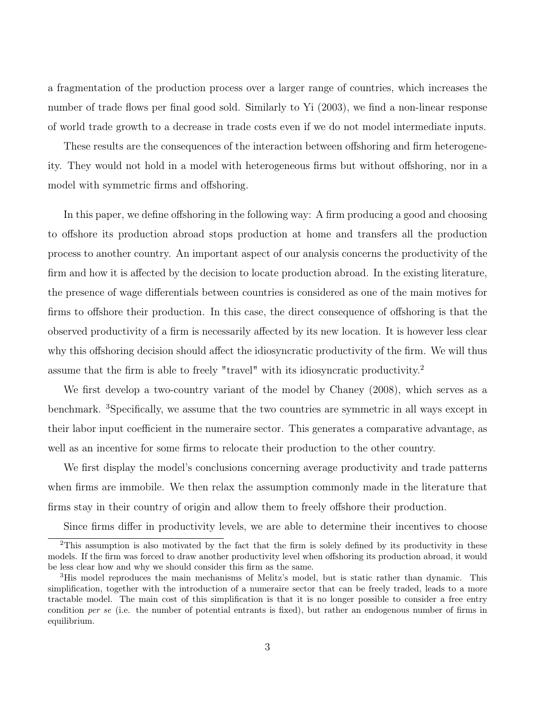a fragmentation of the production process over a larger range of countries, which increases the number of trade flows per final good sold. Similarly to Yi (2003), we find a non-linear response of world trade growth to a decrease in trade costs even if we do not model intermediate inputs.

These results are the consequences of the interaction between offshoring and firm heterogeneity. They would not hold in a model with heterogeneous firms but without offshoring, nor in a model with symmetric firms and offshoring.

In this paper, we define offshoring in the following way: A firm producing a good and choosing to offshore its production abroad stops production at home and transfers all the production process to another country. An important aspect of our analysis concerns the productivity of the firm and how it is affected by the decision to locate production abroad. In the existing literature, the presence of wage differentials between countries is considered as one of the main motives for firms to offshore their production. In this case, the direct consequence of offshoring is that the observed productivity of a firm is necessarily affected by its new location. It is however less clear why this offshoring decision should affect the idiosyncratic productivity of the firm. We will thus assume that the firm is able to freely "travel" with its idiosyncratic productivity.[2](#page-8-0)

We first develop a two-country variant of the model by Chaney (2008), which serves as a benchmark. <sup>[3](#page-8-1)</sup>Specifically, we assume that the two countries are symmetric in all ways except in their labor input coefficient in the numeraire sector. This generates a comparative advantage, as well as an incentive for some firms to relocate their production to the other country.

We first display the model's conclusions concerning average productivity and trade patterns when firms are immobile. We then relax the assumption commonly made in the literature that firms stay in their country of origin and allow them to freely offshore their production.

<span id="page-8-0"></span>Since firms differ in productivity levels, we are able to determine their incentives to choose

 $2$ This assumption is also motivated by the fact that the firm is solely defined by its productivity in these models. If the firm was forced to draw another productivity level when offshoring its production abroad, it would be less clear how and why we should consider this firm as the same.

<span id="page-8-1"></span><sup>&</sup>lt;sup>3</sup>His model reproduces the main mechanisms of Melitz's model, but is static rather than dynamic. This simplification, together with the introduction of a numeraire sector that can be freely traded, leads to a more tractable model. The main cost of this simplification is that it is no longer possible to consider a free entry condition per se (i.e. the number of potential entrants is fixed), but rather an endogenous number of firms in equilibrium.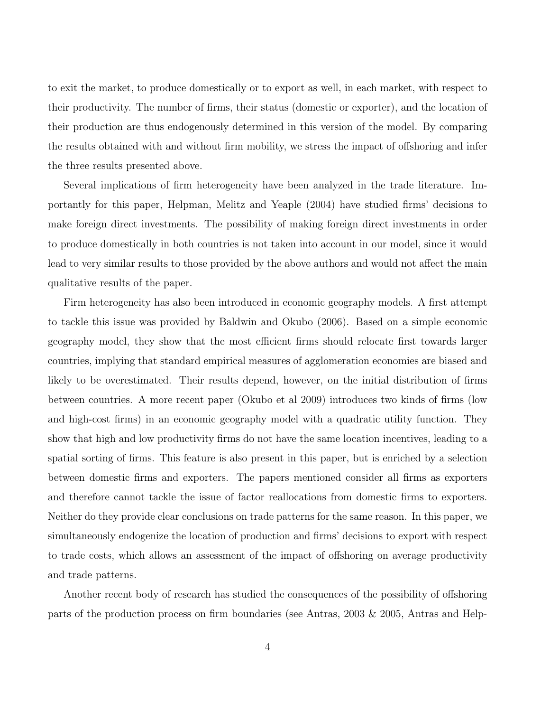to exit the market, to produce domestically or to export as well, in each market, with respect to their productivity. The number of firms, their status (domestic or exporter), and the location of their production are thus endogenously determined in this version of the model. By comparing the results obtained with and without firm mobility, we stress the impact of offshoring and infer the three results presented above.

Several implications of firm heterogeneity have been analyzed in the trade literature. Importantly for this paper, Helpman, Melitz and Yeaple (2004) have studied firms' decisions to make foreign direct investments. The possibility of making foreign direct investments in order to produce domestically in both countries is not taken into account in our model, since it would lead to very similar results to those provided by the above authors and would not affect the main qualitative results of the paper.

Firm heterogeneity has also been introduced in economic geography models. A first attempt to tackle this issue was provided by Baldwin and Okubo (2006). Based on a simple economic geography model, they show that the most efficient firms should relocate first towards larger countries, implying that standard empirical measures of agglomeration economies are biased and likely to be overestimated. Their results depend, however, on the initial distribution of firms between countries. A more recent paper (Okubo et al 2009) introduces two kinds of firms (low and high-cost firms) in an economic geography model with a quadratic utility function. They show that high and low productivity firms do not have the same location incentives, leading to a spatial sorting of firms. This feature is also present in this paper, but is enriched by a selection between domestic firms and exporters. The papers mentioned consider all firms as exporters and therefore cannot tackle the issue of factor reallocations from domestic firms to exporters. Neither do they provide clear conclusions on trade patterns for the same reason. In this paper, we simultaneously endogenize the location of production and firms' decisions to export with respect to trade costs, which allows an assessment of the impact of offshoring on average productivity and trade patterns.

Another recent body of research has studied the consequences of the possibility of offshoring parts of the production process on firm boundaries (see Antras, 2003 & 2005, Antras and Help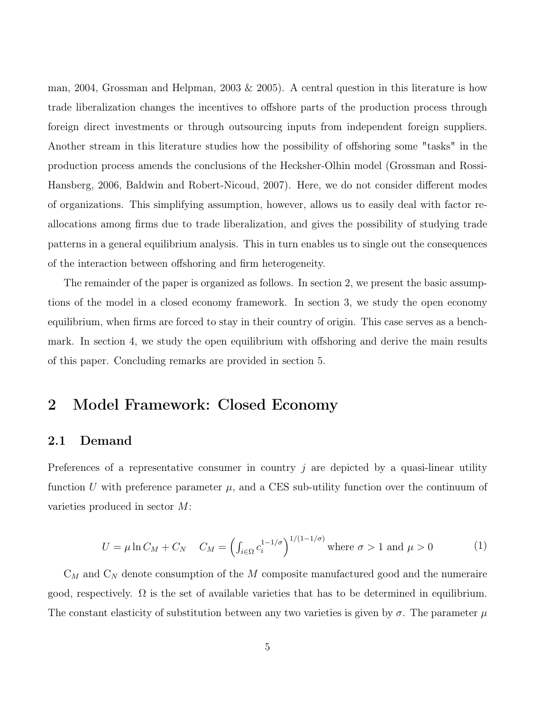man, 2004, Grossman and Helpman, 2003  $\&$  2005). A central question in this literature is how trade liberalization changes the incentives to offshore parts of the production process through foreign direct investments or through outsourcing inputs from independent foreign suppliers. Another stream in this literature studies how the possibility of offshoring some "tasks" in the production process amends the conclusions of the Hecksher-Olhin model (Grossman and Rossi-Hansberg, 2006, Baldwin and Robert-Nicoud, 2007). Here, we do not consider different modes of organizations. This simplifying assumption, however, allows us to easily deal with factor reallocations among firms due to trade liberalization, and gives the possibility of studying trade patterns in a general equilibrium analysis. This in turn enables us to single out the consequences of the interaction between offshoring and firm heterogeneity.

The remainder of the paper is organized as follows. In section 2, we present the basic assumptions of the model in a closed economy framework. In section 3, we study the open economy equilibrium, when firms are forced to stay in their country of origin. This case serves as a benchmark. In section 4, we study the open equilibrium with offshoring and derive the main results of this paper. Concluding remarks are provided in section 5.

### 2 Model Framework: Closed Economy

#### 2.1 Demand

Preferences of a representative consumer in country  $j$  are depicted by a quasi-linear utility function U with preference parameter  $\mu$ , and a CES sub-utility function over the continuum of varieties produced in sector M:

$$
U = \mu \ln C_M + C_N \quad C_M = \left( \int_{i \in \Omega} c_i^{1-1/\sigma} \right)^{1/(1-1/\sigma)} \text{where } \sigma > 1 \text{ and } \mu > 0 \tag{1}
$$

 $C_M$  and  $C_N$  denote consumption of the M composite manufactured good and the numeraire good, respectively.  $\Omega$  is the set of available varieties that has to be determined in equilibrium. The constant elasticity of substitution between any two varieties is given by  $\sigma$ . The parameter  $\mu$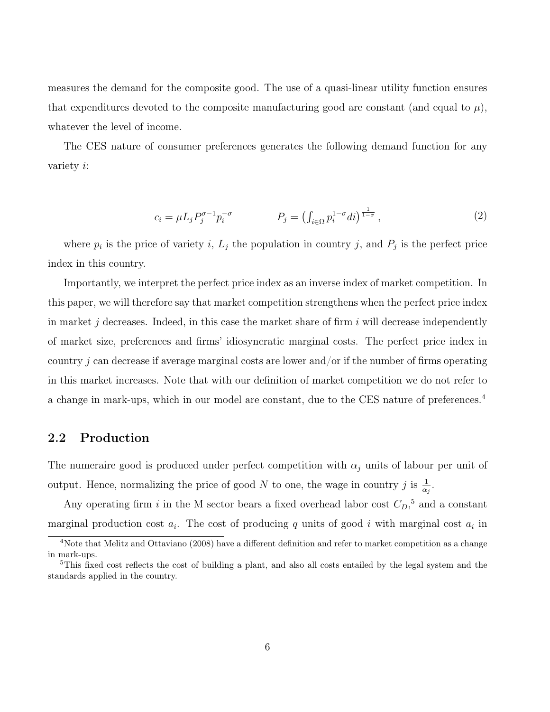measures the demand for the composite good. The use of a quasi-linear utility function ensures that expenditures devoted to the composite manufacturing good are constant (and equal to  $\mu$ ), whatever the level of income.

The CES nature of consumer preferences generates the following demand function for any variety i:

$$
c_i = \mu L_j P_j^{\sigma - 1} p_i^{-\sigma} \qquad P_j = \left( \int_{i \in \Omega} p_i^{1 - \sigma} di \right)^{\frac{1}{1 - \sigma}}, \tag{2}
$$

where  $p_i$  is the price of variety i,  $L_j$  the population in country j, and  $P_j$  is the perfect price index in this country.

Importantly, we interpret the perfect price index as an inverse index of market competition. In this paper, we will therefore say that market competition strengthens when the perfect price index in market j decreases. Indeed, in this case the market share of firm  $i$  will decrease independently of market size, preferences and firms' idiosyncratic marginal costs. The perfect price index in country j can decrease if average marginal costs are lower and/or if the number of firms operating in this market increases. Note that with our definition of market competition we do not refer to a change in mark-ups, which in our model are constant, due to the CES nature of preferences.<sup>[4](#page-11-0)</sup>

#### 2.2 Production

The numeraire good is produced under perfect competition with  $\alpha_j$  units of labour per unit of output. Hence, normalizing the price of good N to one, the wage in country j is  $\frac{1}{\alpha_j}$ .

Any operating firm i in the M sector bears a fixed overhead labor cost  $C_D$ <sup>[5](#page-11-1)</sup>, and a constant marginal production cost  $a_i$ . The cost of producing q units of good i with marginal cost  $a_i$  in

<span id="page-11-0"></span><sup>&</sup>lt;sup>4</sup>Note that Melitz and Ottaviano (2008) have a different definition and refer to market competition as a change in mark-ups.

<span id="page-11-1"></span><sup>&</sup>lt;sup>5</sup>This fixed cost reflects the cost of building a plant, and also all costs entailed by the legal system and the standards applied in the country.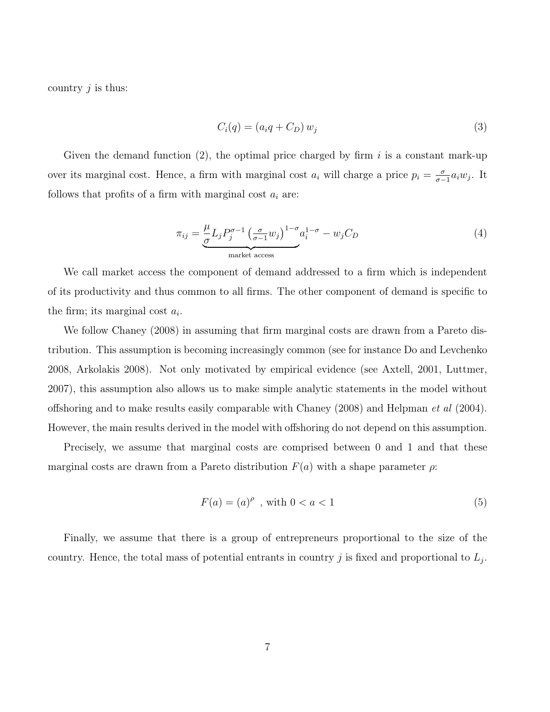country  $j$  is thus:

$$
C_i(q) = (a_i q + C_D) w_j \tag{3}
$$

Given the demand function  $(2)$ , the optimal price charged by firm i is a constant mark-up over its marginal cost. Hence, a firm with marginal cost  $a_i$  will charge a price  $p_i = \frac{\sigma}{\sigma}$  $\frac{\sigma}{\sigma-1}a_iw_j$ . It follows that profits of a firm with marginal cost  $a_i$  are:

$$
\pi_{ij} = \underbrace{\frac{\mu}{\sigma} L_j P_j^{\sigma - 1} \left( \frac{\sigma}{\sigma - 1} w_j \right)^{1 - \sigma} a_i^{1 - \sigma}}_{\text{market access}} - w_j C_D \tag{4}
$$

We call market access the component of demand addressed to a firm which is independent of its productivity and thus common to all firms. The other component of demand is specific to the firm; its marginal cost  $a_i$ .

We follow Chaney (2008) in assuming that firm marginal costs are drawn from a Pareto distribution. This assumption is becoming increasingly common (see for instance Do and Levchenko 2008, Arkolakis 2008). Not only motivated by empirical evidence (see Axtell, 2001, Luttmer, 2007), this assumption also allows us to make simple analytic statements in the model without offshoring and to make results easily comparable with Chaney (2008) and Helpman et al (2004). However, the main results derived in the model with offshoring do not depend on this assumption.

Precisely, we assume that marginal costs are comprised between 0 and 1 and that these marginal costs are drawn from a Pareto distribution  $F(a)$  with a shape parameter  $\rho$ :

$$
F(a) = (a)^{\rho} \text{ , with } 0 < a < 1 \tag{5}
$$

Finally, we assume that there is a group of entrepreneurs proportional to the size of the country. Hence, the total mass of potential entrants in country j is fixed and proportional to  $L_j$ .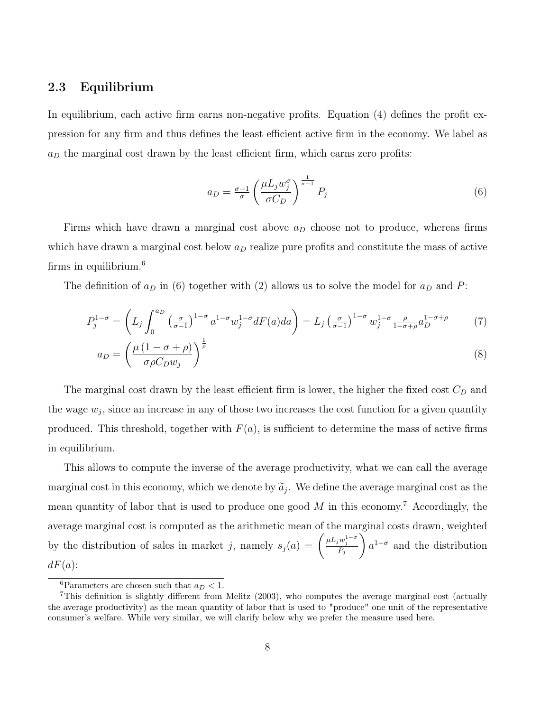#### 2.3 Equilibrium

In equilibrium, each active firm earns non-negative profits. Equation (4) defines the profit expression for any firm and thus defines the least efficient active firm in the economy. We label as  $a_D$  the marginal cost drawn by the least efficient firm, which earns zero profits:

$$
a_D = \frac{\sigma - 1}{\sigma} \left( \frac{\mu L_j w_j^{\sigma}}{\sigma C_D} \right)^{\frac{1}{\sigma - 1}} P_j \tag{6}
$$

Firms which have drawn a marginal cost above  $a_D$  choose not to produce, whereas firms which have drawn a marginal cost below  $a<sub>D</sub>$  realize pure profits and constitute the mass of active firms in equilibrium.[6](#page-13-0)

The definition of  $a_D$  in (6) together with (2) allows us to solve the model for  $a_D$  and P:

$$
P_j^{1-\sigma} = \left( L_j \int_0^{a_D} \left( \frac{\sigma}{\sigma - 1} \right)^{1-\sigma} a^{1-\sigma} w_j^{1-\sigma} dF(a) da \right) = L_j \left( \frac{\sigma}{\sigma - 1} \right)^{1-\sigma} w_j^{1-\sigma} \frac{\rho}{1-\sigma + \rho} a_D^{1-\sigma + \rho} \tag{7}
$$

$$
a_D = \left(\frac{\mu \left(1 - \sigma + \rho\right)}{\sigma \rho C_D w_j}\right)^{\frac{1}{\rho}}
$$
\n
$$
\tag{8}
$$

The marginal cost drawn by the least efficient firm is lower, the higher the fixed cost  $C_D$  and the wage  $w_j$ , since an increase in any of those two increases the cost function for a given quantity produced. This threshold, together with  $F(a)$ , is sufficient to determine the mass of active firms in equilibrium.

This allows to compute the inverse of the average productivity, what we can call the average marginal cost in this economy, which we denote by  $\tilde{a}_j$ . We define the average marginal cost as the mean quantity of labor that is used to produce one good  $M$  in this economy.<sup>[7](#page-13-1)</sup> Accordingly, the average marginal cost is computed as the arithmetic mean of the marginal costs drawn, weighted by the distribution of sales in market j, namely  $s_j(a) = \left(\frac{\mu L_j w_j^{1-\sigma}}{P_j}\right)$  $\setminus$  $a^{1-\sigma}$  and the distribution  $dF(a)$ :

<span id="page-13-1"></span><span id="page-13-0"></span><sup>&</sup>lt;sup>6</sup>Parameters are chosen such that  $a_D < 1$ .

<sup>7</sup>This definition is slightly different from Melitz (2003), who computes the average marginal cost (actually the average productivity) as the mean quantity of labor that is used to "produce" one unit of the representative consumer's welfare. While very similar, we will clarify below why we prefer the measure used here.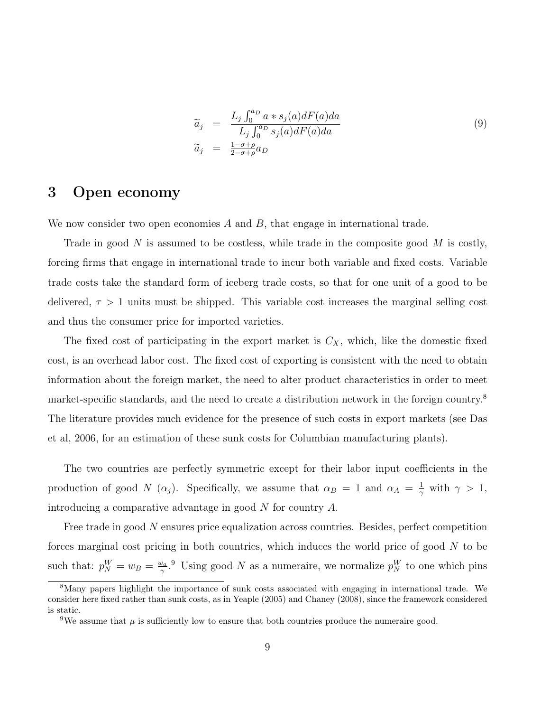$$
\begin{array}{rcl}\n\widetilde{a}_j & = & \frac{L_j \int_0^{a_D} a \ast s_j(a) dF(a) da}{L_j \int_0^{a_D} s_j(a) dF(a) da} \\
\widetilde{a}_j & = & \frac{1 - \sigma + \rho}{2 - \sigma + \rho} a_D\n\end{array} \tag{9}
$$

### 3 Open economy

We now consider two open economies  $A$  and  $B$ , that engage in international trade.

Trade in good N is assumed to be costless, while trade in the composite good M is costly, forcing firms that engage in international trade to incur both variable and fixed costs. Variable trade costs take the standard form of iceberg trade costs, so that for one unit of a good to be delivered,  $\tau > 1$  units must be shipped. This variable cost increases the marginal selling cost and thus the consumer price for imported varieties.

The fixed cost of participating in the export market is  $C_X$ , which, like the domestic fixed cost, is an overhead labor cost. The fixed cost of exporting is consistent with the need to obtain information about the foreign market, the need to alter product characteristics in order to meet market-specific standards, and the need to create a distribution network in the foreign country.<sup>[8](#page-14-0)</sup> The literature provides much evidence for the presence of such costs in export markets (see Das et al, 2006, for an estimation of these sunk costs for Columbian manufacturing plants).

The two countries are perfectly symmetric except for their labor input coefficients in the production of good N  $(\alpha_j)$ . Specifically, we assume that  $\alpha_B = 1$  and  $\alpha_A = \frac{1}{\gamma}$  $\frac{1}{\gamma}$  with  $\gamma > 1$ , introducing a comparative advantage in good N for country A.

Free trade in good N ensures price equalization across countries. Besides, perfect competition forces marginal cost pricing in both countries, which induces the world price of good  $N$  to be such that:  $p_N^W = w_B = \frac{w_a}{\gamma}$  $\frac{\nu_a}{\gamma}$ .<sup>[9](#page-14-1)</sup> Using good N as a numeraire, we normalize  $p_N^W$  to one which pins

<span id="page-14-0"></span><sup>8</sup>Many papers highlight the importance of sunk costs associated with engaging in international trade. We consider here fixed rather than sunk costs, as in Yeaple (2005) and Chaney (2008), since the framework considered is static.

<span id="page-14-1"></span><sup>&</sup>lt;sup>9</sup>We assume that  $\mu$  is sufficiently low to ensure that both countries produce the numeraire good.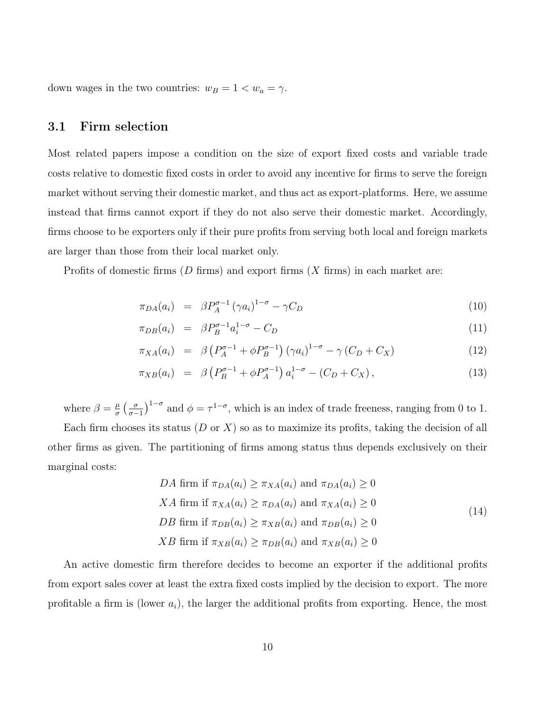down wages in the two countries:  $w_B = 1 < w_a = \gamma$ .

#### 3.1 Firm selection

Most related papers impose a condition on the size of export fixed costs and variable trade costs relative to domestic fixed costs in order to avoid any incentive for firms to serve the foreign market without serving their domestic market, and thus act as export-platforms. Here, we assume instead that firms cannot export if they do not also serve their domestic market. Accordingly, firms choose to be exporters only if their pure profits from serving both local and foreign markets are larger than those from their local market only.

Profits of domestic firms  $(D \text{ firms})$  and export firms  $(X \text{ firms})$  in each market are:

$$
\pi_{DA}(a_i) = \beta P_A^{\sigma-1} (\gamma a_i)^{1-\sigma} - \gamma C_D \tag{10}
$$

$$
\pi_{DB}(a_i) = \beta P_B^{\sigma-1} a_i^{1-\sigma} - C_D \tag{11}
$$

$$
\pi_{XA}(a_i) = \beta \left( P_A^{\sigma-1} + \phi P_B^{\sigma-1} \right) \left( \gamma a_i \right)^{1-\sigma} - \gamma \left( C_D + C_X \right) \tag{12}
$$

$$
\pi_{XB}(a_i) = \beta \left( P_B^{\sigma-1} + \phi P_A^{\sigma-1} \right) a_i^{1-\sigma} - (C_D + C_X), \tag{13}
$$

where  $\beta = \frac{\mu}{\sigma}$  $\frac{\mu}{\sigma}$   $\left(\frac{\sigma}{\sigma-}\right)$  $\frac{\sigma}{\sigma-1}$ <sup>1- $\sigma$ </sup> and  $\phi = \tau^{1-\sigma}$ , which is an index of trade freeness, ranging from 0 to 1. Each firm chooses its status  $(D \text{ or } X)$  so as to maximize its profits, taking the decision of all

other firms as given. The partitioning of firms among status thus depends exclusively on their marginal costs:

$$
DA \text{ firm if } \pi_{DA}(a_i) \ge \pi_{XA}(a_i) \text{ and } \pi_{DA}(a_i) \ge 0
$$
  

$$
XA \text{ firm if } \pi_{XA}(a_i) \ge \pi_{DA}(a_i) \text{ and } \pi_{XA}(a_i) \ge 0
$$
  

$$
DB \text{ firm if } \pi_{DB}(a_i) \ge \pi_{XB}(a_i) \text{ and } \pi_{DB}(a_i) \ge 0
$$
  

$$
XB \text{ firm if } \pi_{XB}(a_i) \ge \pi_{DB}(a_i) \text{ and } \pi_{XB}(a_i) \ge 0
$$
 (14)

An active domestic firm therefore decides to become an exporter if the additional profits from export sales cover at least the extra fixed costs implied by the decision to export. The more profitable a firm is (lower  $a_i$ ), the larger the additional profits from exporting. Hence, the most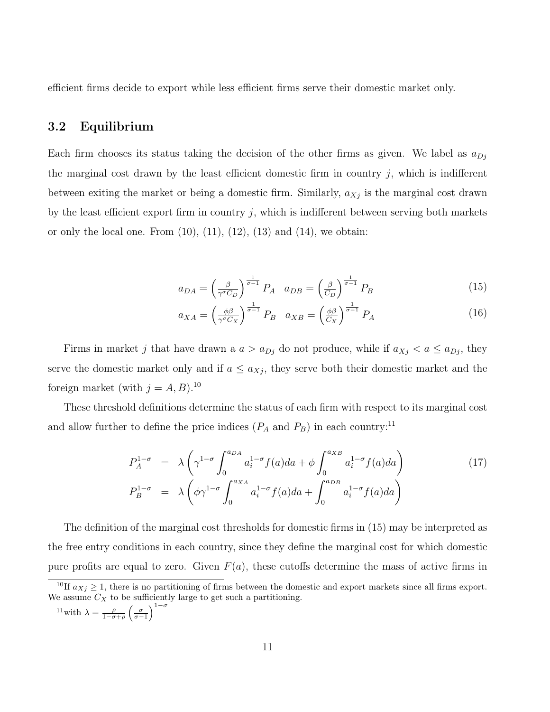efficient firms decide to export while less efficient firms serve their domestic market only.

#### 3.2 Equilibrium

Each firm chooses its status taking the decision of the other firms as given. We label as  $a_{Di}$ the marginal cost drawn by the least efficient domestic firm in country  $j$ , which is indifferent between exiting the market or being a domestic firm. Similarly,  $a_{Xj}$  is the marginal cost drawn by the least efficient export firm in country  $j$ , which is indifferent between serving both markets or only the local one. From  $(10)$ ,  $(11)$ ,  $(12)$ ,  $(13)$  and  $(14)$ , we obtain:

$$
a_{DA} = \left(\frac{\beta}{\gamma^{\sigma} C_D}\right)^{\frac{1}{\sigma - 1}} P_A \quad a_{DB} = \left(\frac{\beta}{C_D}\right)^{\frac{1}{\sigma - 1}} P_B \tag{15}
$$

$$
a_{XA} = \left(\frac{\phi\beta}{\gamma^{\sigma}C_X}\right)^{\frac{1}{\sigma-1}}P_B \quad a_{XB} = \left(\frac{\phi\beta}{C_X}\right)^{\frac{1}{\sigma-1}}P_A \tag{16}
$$

Firms in market j that have drawn a  $a > a_{Dj}$  do not produce, while if  $a_{Xj} < a \le a_{Dj}$ , they serve the domestic market only and if  $a \leq a_{Xj}$ , they serve both their domestic market and the foreign market (with  $j = A, B$ ).<sup>[10](#page-16-0)</sup>

These threshold definitions determine the status of each firm with respect to its marginal cost and allow further to define the price indices  $(P_A \text{ and } P_B)$  in each country:<sup>[11](#page-16-1)</sup>

$$
P_A^{1-\sigma} = \lambda \left( \gamma^{1-\sigma} \int_0^{a_{DA}} a_i^{1-\sigma} f(a) da + \phi \int_0^{a_{XB}} a_i^{1-\sigma} f(a) da \right)
$$
(17)  

$$
P_B^{1-\sigma} = \lambda \left( \phi \gamma^{1-\sigma} \int_0^{a_{XA}} a_i^{1-\sigma} f(a) da + \int_0^{a_{DB}} a_i^{1-\sigma} f(a) da \right)
$$

The definition of the marginal cost thresholds for domestic firms in (15) may be interpreted as the free entry conditions in each country, since they define the marginal cost for which domestic pure profits are equal to zero. Given  $F(a)$ , these cutoffs determine the mass of active firms in

<span id="page-16-1"></span>
$$
^{11}\text{with }\lambda = \frac{\rho}{1-\sigma+\rho} \left(\frac{\sigma}{\sigma-1}\right)^{1-\sigma}
$$

<span id="page-16-0"></span><sup>&</sup>lt;sup>10</sup>If  $a_{Xj} \geq 1$ , there is no partitioning of firms between the domestic and export markets since all firms export. We assume  $C_X$  to be sufficiently large to get such a partitioning.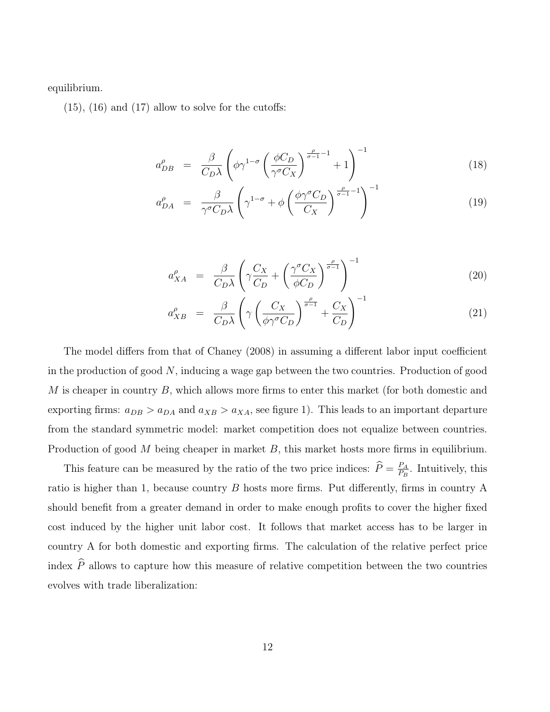equilibrium.

 $(15)$ ,  $(16)$  and  $(17)$  allow to solve for the cutoffs:

$$
a_{DB}^{\rho} = \frac{\beta}{C_D \lambda} \left( \phi \gamma^{1-\sigma} \left( \frac{\phi C_D}{\gamma^{\sigma} C_X} \right)^{\frac{\rho}{\sigma-1}-1} + 1 \right)^{-1} \tag{18}
$$

$$
a_{DA}^{\rho} = \frac{\beta}{\gamma^{\sigma} C_D \lambda} \left( \gamma^{1-\sigma} + \phi \left( \frac{\phi \gamma^{\sigma} C_D}{C_X} \right)^{\frac{\rho}{\sigma - 1} - 1} \right)^{-1}
$$
(19)

$$
a_{XA}^{\rho} = \frac{\beta}{C_D \lambda} \left( \gamma \frac{C_X}{C_D} + \left( \frac{\gamma^{\sigma} C_X}{\phi C_D} \right)^{\frac{\rho}{\sigma - 1}} \right)^{-1}
$$
(20)

$$
a_{XB}^{\rho} = \frac{\beta}{C_D \lambda} \left( \gamma \left( \frac{C_X}{\phi \gamma^{\sigma} C_D} \right)^{\frac{\rho}{\sigma - 1}} + \frac{C_X}{C_D} \right)^{-1} \tag{21}
$$

The model differs from that of Chaney (2008) in assuming a different labor input coefficient in the production of good N, inducing a wage gap between the two countries. Production of good  $M$  is cheaper in country  $B$ , which allows more firms to enter this market (for both domestic and exporting firms:  $a_{DB} > a_{DA}$  and  $a_{XB} > a_{XA}$ , see figure 1). This leads to an important departure from the standard symmetric model: market competition does not equalize between countries. Production of good  $M$  being cheaper in market  $B$ , this market hosts more firms in equilibrium.

This feature can be measured by the ratio of the two price indices:  $\hat{P} = \frac{P_A}{P_B}$  $\frac{P_A}{P_B}$ . Intuitively, this ratio is higher than 1, because country B hosts more firms. Put differently, firms in country A should benefit from a greater demand in order to make enough profits to cover the higher fixed cost induced by the higher unit labor cost. It follows that market access has to be larger in country A for both domestic and exporting firms. The calculation of the relative perfect price index  $\widehat{P}$  allows to capture how this measure of relative competition between the two countries evolves with trade liberalization: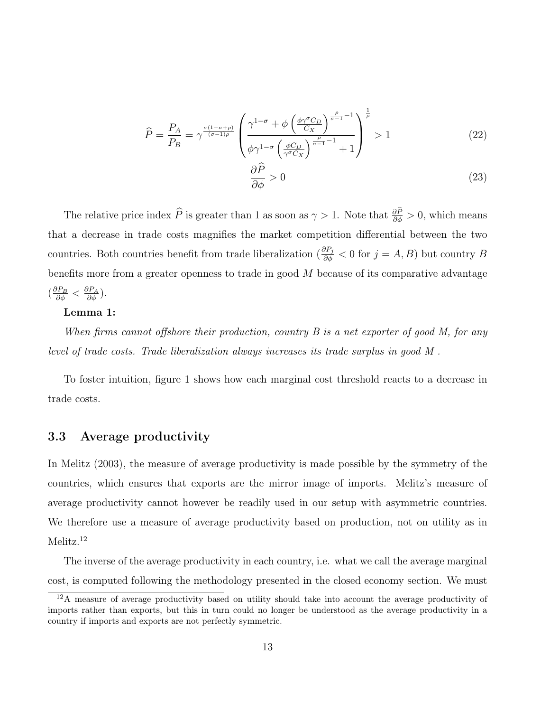$$
\widehat{P} = \frac{P_A}{P_B} = \gamma^{\frac{\sigma(1-\sigma+\rho)}{(\sigma-1)\rho}} \left( \frac{\gamma^{1-\sigma} + \phi \left( \frac{\phi \gamma^{\sigma} C_D}{C_X} \right)^{\frac{\rho}{\sigma-1}-1}}{\phi \gamma^{1-\sigma} \left( \frac{\phi C_D}{\gamma^{\sigma} C_X} \right)^{\frac{\rho}{\sigma-1}-1} + 1} \right)^{\frac{1}{\rho}} > 1
$$
\n(22)

$$
\frac{\partial \widehat{P}}{\partial \phi} > 0 \tag{23}
$$

The relative price index  $\hat{P}$  is greater than 1 as soon as  $\gamma > 1$ . Note that  $\frac{\partial P}{\partial \phi} > 0$ , which means that a decrease in trade costs magnifies the market competition differential between the two countries. Both countries benefit from trade liberalization ( $\frac{\partial P_j}{\partial \phi} < 0$  for  $j = A, B$ ) but country B benefits more from a greater openness to trade in good M because of its comparative advantage  $\left(\frac{\partial P_B}{\partial \phi} < \frac{\partial P_A}{\partial \phi}\right)$ .

#### Lemma 1:

When firms cannot offshore their production, country  $B$  is a net exporter of good  $M$ , for any level of trade costs. Trade liberalization always increases its trade surplus in good M .

To foster intuition, figure 1 shows how each marginal cost threshold reacts to a decrease in trade costs.

#### 3.3 Average productivity

In Melitz (2003), the measure of average productivity is made possible by the symmetry of the countries, which ensures that exports are the mirror image of imports. Melitz's measure of average productivity cannot however be readily used in our setup with asymmetric countries. We therefore use a measure of average productivity based on production, not on utility as in Melitz.<sup>[12](#page-18-0)</sup>

The inverse of the average productivity in each country, i.e. what we call the average marginal cost, is computed following the methodology presented in the closed economy section. We must

<span id="page-18-0"></span> $12A$  measure of average productivity based on utility should take into account the average productivity of imports rather than exports, but this in turn could no longer be understood as the average productivity in a country if imports and exports are not perfectly symmetric.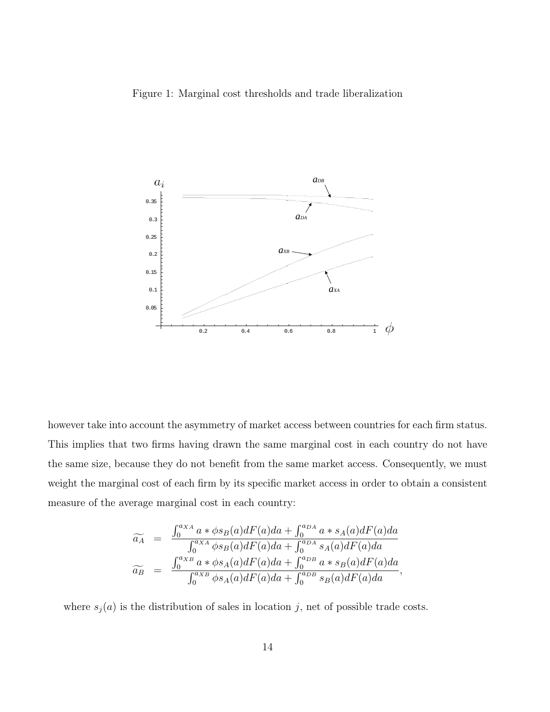#### Figure 1: Marginal cost thresholds and trade liberalization



however take into account the asymmetry of market access between countries for each firm status. This implies that two firms having drawn the same marginal cost in each country do not have the same size, because they do not benefit from the same market access. Consequently, we must weight the marginal cost of each firm by its specific market access in order to obtain a consistent measure of the average marginal cost in each country:

$$
\widetilde{a_A} = \frac{\int_0^{a_{XA}} a * \phi s_B(a) dF(a) da + \int_0^{a_{DA}} a * s_A(a) dF(a) da}{\int_0^{a_{XA}} \phi s_B(a) dF(a) da + \int_0^{a_{DA}} s_A(a) dF(a) da}
$$
  

$$
\widetilde{a_B} = \frac{\int_0^{a_{XB}} a * \phi s_A(a) dF(a) da + \int_0^{a_{DB}} a * s_B(a) dF(a) da}{\int_0^{a_{XB}} \phi s_A(a) dF(a) da + \int_0^{a_{DB}} s_B(a) dF(a) da},
$$

where  $s_j(a)$  is the distribution of sales in location j, net of possible trade costs.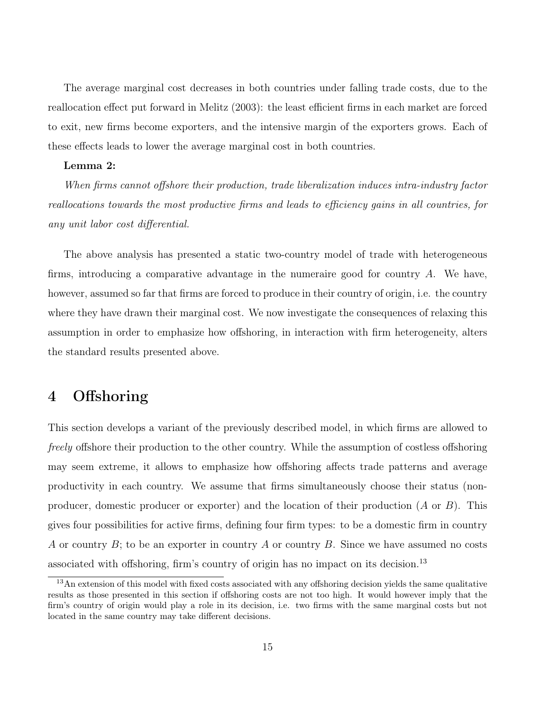The average marginal cost decreases in both countries under falling trade costs, due to the reallocation effect put forward in Melitz (2003): the least efficient firms in each market are forced to exit, new firms become exporters, and the intensive margin of the exporters grows. Each of these effects leads to lower the average marginal cost in both countries.

#### Lemma 2:

When firms cannot offshore their production, trade liberalization induces intra-industry factor reallocations towards the most productive firms and leads to efficiency gains in all countries, for any unit labor cost differential.

The above analysis has presented a static two-country model of trade with heterogeneous firms, introducing a comparative advantage in the numeraire good for country A. We have, however, assumed so far that firms are forced to produce in their country of origin, i.e. the country where they have drawn their marginal cost. We now investigate the consequences of relaxing this assumption in order to emphasize how offshoring, in interaction with firm heterogeneity, alters the standard results presented above.

### 4 Offshoring

This section develops a variant of the previously described model, in which firms are allowed to *freely* offshore their production to the other country. While the assumption of costless offshoring may seem extreme, it allows to emphasize how offshoring affects trade patterns and average productivity in each country. We assume that firms simultaneously choose their status (nonproducer, domestic producer or exporter) and the location of their production  $(A \text{ or } B)$ . This gives four possibilities for active firms, defining four firm types: to be a domestic firm in country A or country  $B$ ; to be an exporter in country A or country B. Since we have assumed no costs associated with offshoring, firm's country of origin has no impact on its decision.<sup>[13](#page-20-0)</sup>

<span id="page-20-0"></span><sup>&</sup>lt;sup>13</sup>An extension of this model with fixed costs associated with any offshoring decision yields the same qualitative results as those presented in this section if offshoring costs are not too high. It would however imply that the firm's country of origin would play a role in its decision, i.e. two firms with the same marginal costs but not located in the same country may take different decisions.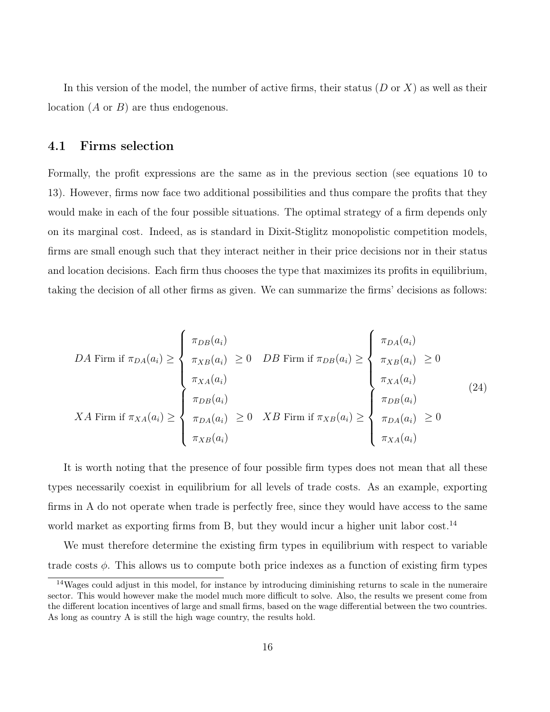In this version of the model, the number of active firms, their status  $(D \text{ or } X)$  as well as their location (A or B) are thus endogenous.

#### 4.1 Firms selection

Formally, the profit expressions are the same as in the previous section (see equations 10 to 13). However, firms now face two additional possibilities and thus compare the profits that they would make in each of the four possible situations. The optimal strategy of a firm depends only on its marginal cost. Indeed, as is standard in Dixit-Stiglitz monopolistic competition models, firms are small enough such that they interact neither in their price decisions nor in their status and location decisions. Each firm thus chooses the type that maximizes its profits in equilibrium, taking the decision of all other firms as given. We can summarize the firms' decisions as follows:

$$
DA \text{ Firm if } \pi_{DA}(a_i) \geq \begin{cases} \pi_{DB}(a_i) \\ \pi_{XB}(a_i) \geq 0 & DB \text{ Firm if } \pi_{DB}(a_i) \geq \begin{cases} \pi_{DA}(a_i) \\ \pi_{XB}(a_i) \geq 0 \\ \pi_{XA}(a_i) \end{cases} \\ \pi_{DA}(a_i) \geq \begin{cases} \pi_{DB}(a_i) \\ \pi_{DA}(a_i) \geq 0 & XB \text{ Firm if } \pi_{XB}(a_i) \geq \begin{cases} \pi_{DB}(a_i) \\ \pi_{DA}(a_i) \geq 0 \\ \pi_{DA}(a_i) \geq 0 \\ \pi_{XA}(a_i) \end{cases} \end{cases}
$$
 (24)

It is worth noting that the presence of four possible firm types does not mean that all these types necessarily coexist in equilibrium for all levels of trade costs. As an example, exporting firms in A do not operate when trade is perfectly free, since they would have access to the same world market as exporting firms from B, but they would incur a higher unit labor cost.<sup>[14](#page-21-0)</sup>

We must therefore determine the existing firm types in equilibrium with respect to variable trade costs  $\phi$ . This allows us to compute both price indexes as a function of existing firm types

<span id="page-21-0"></span><sup>14</sup>Wages could adjust in this model, for instance by introducing diminishing returns to scale in the numeraire sector. This would however make the model much more difficult to solve. Also, the results we present come from the different location incentives of large and small firms, based on the wage differential between the two countries. As long as country A is still the high wage country, the results hold.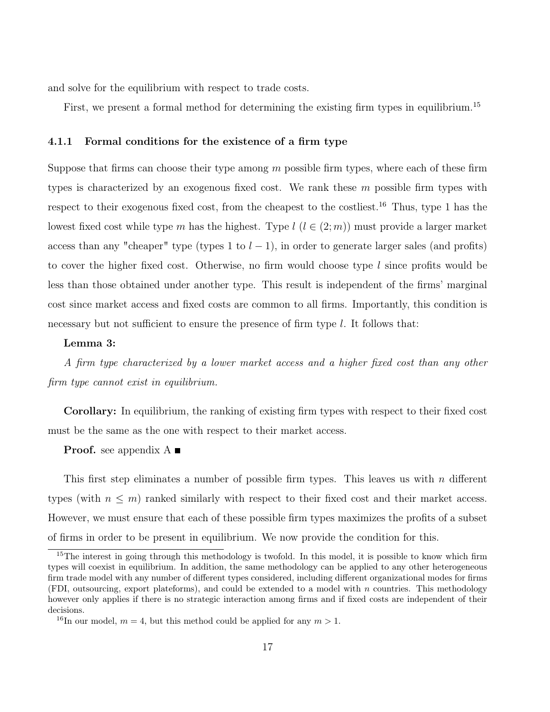and solve for the equilibrium with respect to trade costs.

First, we present a formal method for determining the existing firm types in equilibrium.<sup>[15](#page-22-0)</sup>

#### 4.1.1 Formal conditions for the existence of a firm type

Suppose that firms can choose their type among  $m$  possible firm types, where each of these firm types is characterized by an exogenous fixed cost. We rank these m possible firm types with respect to their exogenous fixed cost, from the cheapest to the costliest.<sup>[16](#page-22-1)</sup> Thus, type 1 has the lowest fixed cost while type m has the highest. Type  $l$   $(l \in (2, m))$  must provide a larger market access than any "cheaper" type (types 1 to  $l-1$ ), in order to generate larger sales (and profits) to cover the higher fixed cost. Otherwise, no firm would choose type  $l$  since profits would be less than those obtained under another type. This result is independent of the firms' marginal cost since market access and fixed costs are common to all firms. Importantly, this condition is necessary but not sufficient to ensure the presence of firm type  $l$ . It follows that:

#### Lemma 3:

A firm type characterized by a lower market access and a higher fixed cost than any other firm type cannot exist in equilibrium.

Corollary: In equilibrium, the ranking of existing firm types with respect to their fixed cost must be the same as the one with respect to their market access.

**Proof.** see appendix  $A \equiv$ 

This first step eliminates a number of possible firm types. This leaves us with  $n$  different types (with  $n \leq m$ ) ranked similarly with respect to their fixed cost and their market access. However, we must ensure that each of these possible firm types maximizes the profits of a subset of firms in order to be present in equilibrium. We now provide the condition for this.

<span id="page-22-0"></span><sup>&</sup>lt;sup>15</sup>The interest in going through this methodology is twofold. In this model, it is possible to know which firm types will coexist in equilibrium. In addition, the same methodology can be applied to any other heterogeneous firm trade model with any number of different types considered, including different organizational modes for firms (FDI, outsourcing, export plateforms), and could be extended to a model with  $n$  countries. This methodology however only applies if there is no strategic interaction among firms and if fixed costs are independent of their decisions.

<span id="page-22-1"></span><sup>&</sup>lt;sup>16</sup>In our model,  $m = 4$ , but this method could be applied for any  $m > 1$ .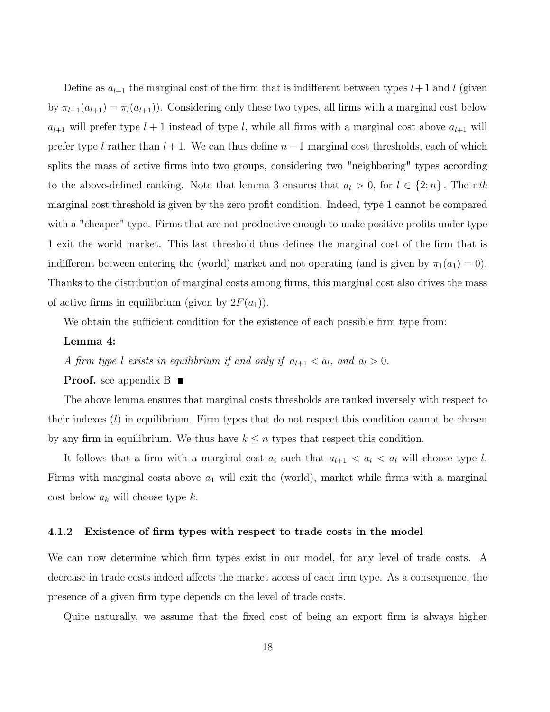Define as  $a_{l+1}$  the marginal cost of the firm that is indifferent between types  $l+1$  and l (given by  $\pi_{l+1}(a_{l+1}) = \pi_l(a_{l+1})$ . Considering only these two types, all firms with a marginal cost below  $a_{l+1}$  will prefer type  $l + 1$  instead of type l, while all firms with a marginal cost above  $a_{l+1}$  will prefer type l rather than  $l + 1$ . We can thus define  $n - 1$  marginal cost thresholds, each of which splits the mass of active firms into two groups, considering two "neighboring" types according to the above-defined ranking. Note that lemma 3 ensures that  $a_l > 0$ , for  $l \in \{2; n\}$ . The nth marginal cost threshold is given by the zero profit condition. Indeed, type 1 cannot be compared with a "cheaper" type. Firms that are not productive enough to make positive profits under type 1 exit the world market. This last threshold thus defines the marginal cost of the firm that is indifferent between entering the (world) market and not operating (and is given by  $\pi_1(a_1) = 0$ ). Thanks to the distribution of marginal costs among firms, this marginal cost also drives the mass of active firms in equilibrium (given by  $2F(a_1)$ ).

We obtain the sufficient condition for the existence of each possible firm type from:

#### Lemma 4:

A firm type l exists in equilibrium if and only if  $a_{l+1} < a_l$ , and  $a_l > 0$ .

#### **Proof.** see appendix  $B$

The above lemma ensures that marginal costs thresholds are ranked inversely with respect to their indexes  $(l)$  in equilibrium. Firm types that do not respect this condition cannot be chosen by any firm in equilibrium. We thus have  $k \leq n$  types that respect this condition.

It follows that a firm with a marginal cost  $a_i$  such that  $a_{l+1} < a_i < a_l$  will choose type l. Firms with marginal costs above  $a_1$  will exit the (world), market while firms with a marginal cost below  $a_k$  will choose type k.

#### 4.1.2 Existence of firm types with respect to trade costs in the model

We can now determine which firm types exist in our model, for any level of trade costs. A decrease in trade costs indeed affects the market access of each firm type. As a consequence, the presence of a given firm type depends on the level of trade costs.

Quite naturally, we assume that the fixed cost of being an export firm is always higher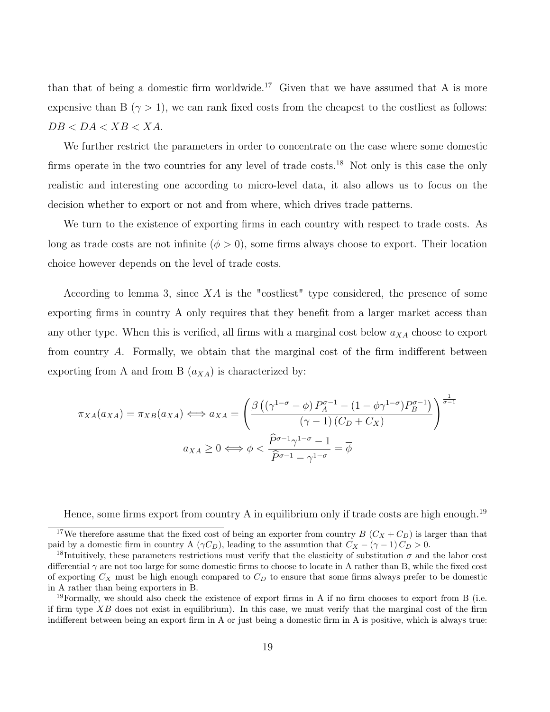than that of being a domestic firm worldwide.<sup>[17](#page-24-0)</sup> Given that we have assumed that A is more expensive than B ( $\gamma > 1$ ), we can rank fixed costs from the cheapest to the costliest as follows:  $DB < DA < XB < XA$ .

We further restrict the parameters in order to concentrate on the case where some domestic firms operate in the two countries for any level of trade costs.<sup>[18](#page-24-1)</sup> Not only is this case the only realistic and interesting one according to micro-level data, it also allows us to focus on the decision whether to export or not and from where, which drives trade patterns.

We turn to the existence of exporting firms in each country with respect to trade costs. As long as trade costs are not infinite  $(\phi > 0)$ , some firms always choose to export. Their location choice however depends on the level of trade costs.

According to lemma 3, since  $XA$  is the "costliest" type considered, the presence of some exporting firms in country A only requires that they benefit from a larger market access than any other type. When this is verified, all firms with a marginal cost below  $a_{XA}$  choose to export from country A. Formally, we obtain that the marginal cost of the firm indifferent between exporting from A and from B  $(a_{XA})$  is characterized by:

$$
\pi_{XA}(a_{XA}) = \pi_{XB}(a_{XA}) \iff a_{XA} = \left(\frac{\beta\left((\gamma^{1-\sigma} - \phi)P_A^{\sigma-1} - (1 - \phi\gamma^{1-\sigma})P_B^{\sigma-1}\right)}{(\gamma - 1)(C_D + C_X)}\right)^{\frac{1}{\sigma-1}}
$$

$$
a_{XA} \ge 0 \iff \phi < \frac{\widehat{P}^{\sigma-1}\gamma^{1-\sigma} - 1}{\widehat{P}^{\sigma-1} - \gamma^{1-\sigma}} = \overline{\phi}
$$

Hence, some firms export from country A in equilibrium only if trade costs are high enough.<sup>[19](#page-24-2)</sup>

<span id="page-24-0"></span><sup>&</sup>lt;sup>17</sup>We therefore assume that the fixed cost of being an exporter from country B  $(C_X + C_D)$  is larger than that paid by a domestic firm in country A ( $\gamma C_D$ ), leading to the assumtion that  $C_X - (\gamma - 1) C_D > 0$ .

<span id="page-24-1"></span><sup>&</sup>lt;sup>18</sup>Intuitively, these parameters restrictions must verify that the elasticity of substitution  $\sigma$  and the labor cost differential  $\gamma$  are not too large for some domestic firms to choose to locate in A rather than B, while the fixed cost of exporting  $C_X$  must be high enough compared to  $C_D$  to ensure that some firms always prefer to be domestic in A rather than being exporters in B.

<span id="page-24-2"></span> $19$ Formally, we should also check the existence of export firms in A if no firm chooses to export from B (i.e. if firm type  $XB$  does not exist in equilibrium). In this case, we must verify that the marginal cost of the firm indifferent between being an export firm in A or just being a domestic firm in A is positive, which is always true: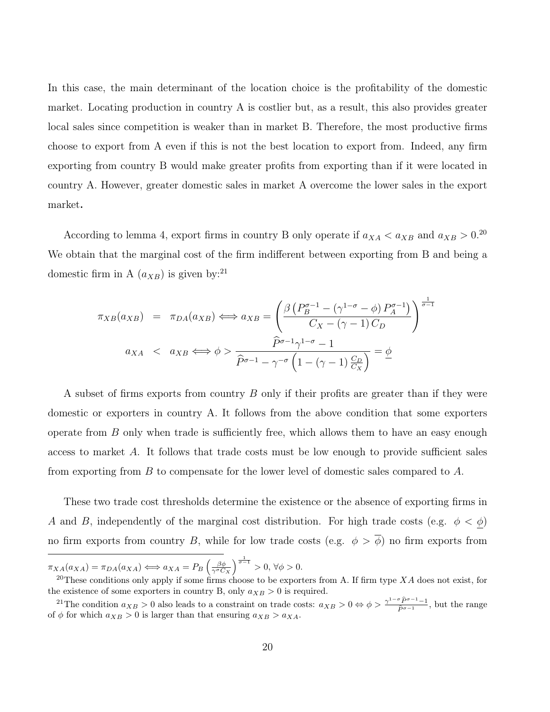In this case, the main determinant of the location choice is the profitability of the domestic market. Locating production in country A is costlier but, as a result, this also provides greater local sales since competition is weaker than in market B. Therefore, the most productive firms choose to export from A even if this is not the best location to export from. Indeed, any firm exporting from country B would make greater profits from exporting than if it were located in country A. However, greater domestic sales in market A overcome the lower sales in the export market.

According to lemma 4, export firms in country B only operate if  $a_{XA} < a_{XB}$  and  $a_{XB} > 0$ .<sup>[20](#page-25-0)</sup> We obtain that the marginal cost of the firm indifferent between exporting from B and being a domestic firm in A  $(a_{XB})$  is given by:<sup>[21](#page-25-1)</sup>

$$
\pi_{XB}(a_{XB}) = \pi_{DA}(a_{XB}) \iff a_{XB} = \left(\frac{\beta \left(P_B^{\sigma-1} - (\gamma^{1-\sigma} - \phi) P_A^{\sigma-1}\right)}{C_X - (\gamma - 1) C_D}\right)^{\frac{1}{\sigma-1}}
$$

$$
a_{XA} < a_{XB} \iff \phi > \frac{\widehat{P}^{\sigma-1} \gamma^{1-\sigma} - 1}{\widehat{P}^{\sigma-1} - \gamma^{-\sigma} \left(1 - (\gamma - 1) \frac{C_D}{C_X}\right)} = \underline{\phi}
$$

A subset of firms exports from country B only if their profits are greater than if they were domestic or exporters in country A. It follows from the above condition that some exporters operate from  $B$  only when trade is sufficiently free, which allows them to have an easy enough access to market A. It follows that trade costs must be low enough to provide sufficient sales from exporting from B to compensate for the lower level of domestic sales compared to A.

These two trade cost thresholds determine the existence or the absence of exporting firms in A and B, independently of the marginal cost distribution. For high trade costs (e.g.  $\phi < \phi$ ) no firm exports from country B, while for low trade costs (e.g.  $\phi > \overline{\phi}$ ) no firm exports from

 $\pi_{XA}(a_{XA}) = \pi_{DA}(a_{XA}) \Longleftrightarrow a_{XA} = P_B \left(\frac{\beta \phi}{\gamma^{\sigma} C_X}\right)^{\frac{1}{\sigma-1}} > 0, \forall \phi > 0.$ 

<span id="page-25-0"></span><sup>&</sup>lt;sup>20</sup>These conditions only apply if some firms choose to be exporters from A. If firm type  $XA$  does not exist, for the existence of some exporters in country B, only  $a_{XB} > 0$  is required.

<span id="page-25-1"></span><sup>&</sup>lt;sup>21</sup>The condition  $a_{XB} > 0$  also leads to a constraint on trade costs:  $a_{XB} > 0 \Leftrightarrow \phi > \frac{\gamma^{1-\sigma}\hat{P}^{\sigma-1}-1}{\hat{P}^{\sigma-1}}$  $\frac{P^2 P^2 - 1}{\hat{P}^{\sigma-1}}$ , but the range of  $\phi$  for which  $a_{XB} > 0$  is larger than that ensuring  $a_{XB} > a_{XA}$ .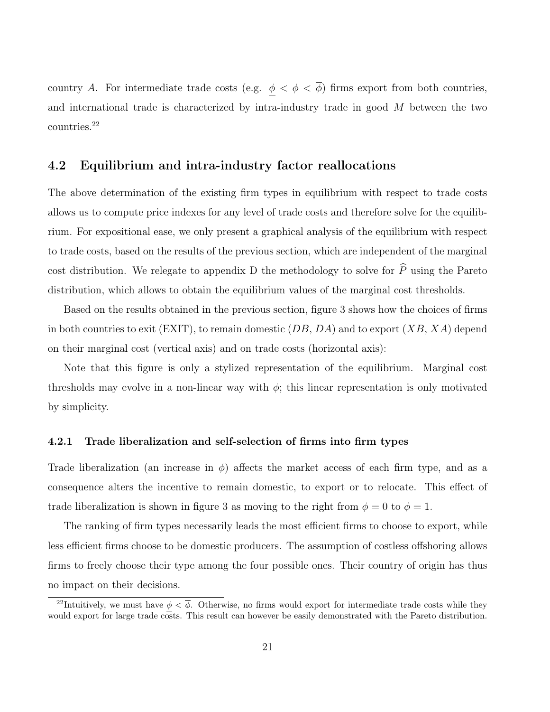country A. For intermediate trade costs (e.g.  $\phi < \phi < \overline{\phi}$ ) firms export from both countries, and international trade is characterized by intra-industry trade in good M between the two countries.[22](#page-26-0)

#### 4.2 Equilibrium and intra-industry factor reallocations

The above determination of the existing firm types in equilibrium with respect to trade costs allows us to compute price indexes for any level of trade costs and therefore solve for the equilibrium. For expositional ease, we only present a graphical analysis of the equilibrium with respect to trade costs, based on the results of the previous section, which are independent of the marginal cost distribution. We relegate to appendix D the methodology to solve for  $\widehat{P}$  using the Pareto distribution, which allows to obtain the equilibrium values of the marginal cost thresholds.

Based on the results obtained in the previous section, figure 3 shows how the choices of firms in both countries to exit (EXIT), to remain domestic  $(DB, DA)$  and to export  $(XB, XA)$  depend on their marginal cost (vertical axis) and on trade costs (horizontal axis):

Note that this figure is only a stylized representation of the equilibrium. Marginal cost thresholds may evolve in a non-linear way with  $\phi$ ; this linear representation is only motivated by simplicity.

#### 4.2.1 Trade liberalization and self-selection of firms into firm types

Trade liberalization (an increase in  $\phi$ ) affects the market access of each firm type, and as a consequence alters the incentive to remain domestic, to export or to relocate. This effect of trade liberalization is shown in figure 3 as moving to the right from  $\phi = 0$  to  $\phi = 1$ .

The ranking of firm types necessarily leads the most efficient firms to choose to export, while less efficient firms choose to be domestic producers. The assumption of costless offshoring allows firms to freely choose their type among the four possible ones. Their country of origin has thus no impact on their decisions.

<span id="page-26-0"></span><sup>&</sup>lt;sup>22</sup>Intuitively, we must have  $\phi < \overline{\phi}$ . Otherwise, no firms would export for intermediate trade costs while they would export for large trade costs. This result can however be easily demonstrated with the Pareto distribution.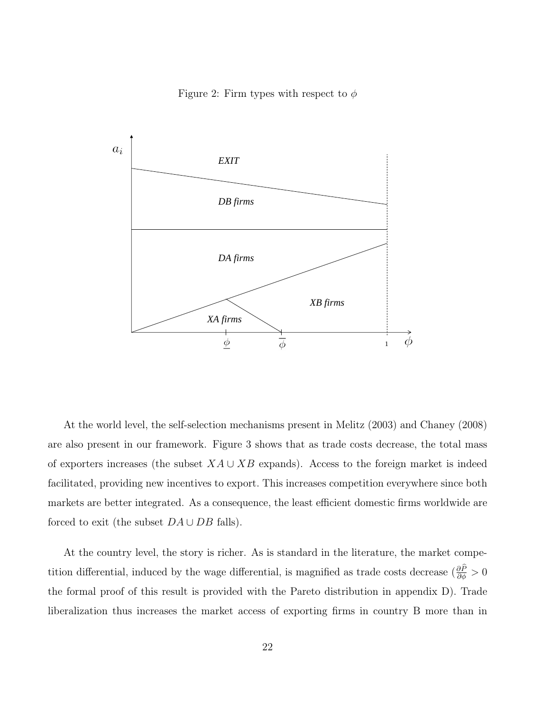Figure 2: Firm types with respect to  $\phi$ 



At the world level, the self-selection mechanisms present in Melitz (2003) and Chaney (2008) are also present in our framework. Figure 3 shows that as trade costs decrease, the total mass of exporters increases (the subset  $XA \cup XB$  expands). Access to the foreign market is indeed facilitated, providing new incentives to export. This increases competition everywhere since both markets are better integrated. As a consequence, the least efficient domestic firms worldwide are forced to exit (the subset  $DA \cup DB$  falls).

At the country level, the story is richer. As is standard in the literature, the market competition differential, induced by the wage differential, is magnified as trade costs decrease  $(\frac{\partial P}{\partial \phi} > 0$ the formal proof of this result is provided with the Pareto distribution in appendix D). Trade liberalization thus increases the market access of exporting firms in country B more than in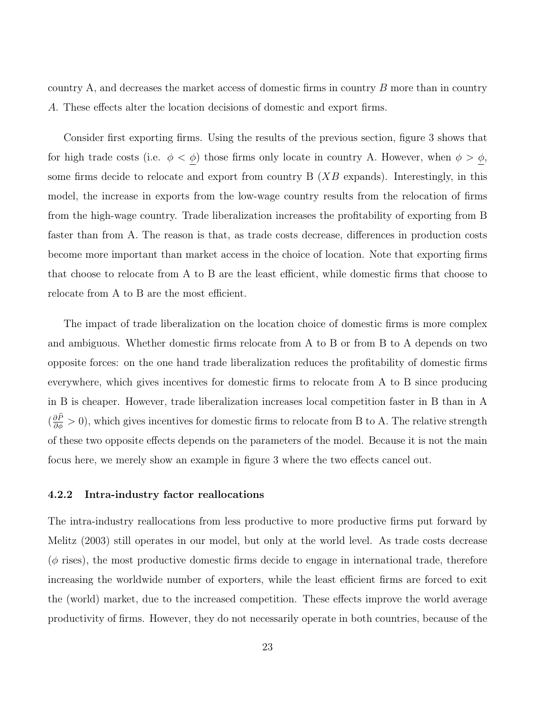country A, and decreases the market access of domestic firms in country B more than in country A. These effects alter the location decisions of domestic and export firms.

Consider first exporting firms. Using the results of the previous section, figure 3 shows that for high trade costs (i.e.  $\phi < \phi$ ) those firms only locate in country A. However, when  $\phi > \phi$ , some firms decide to relocate and export from country  $B(XB)$  expands). Interestingly, in this model, the increase in exports from the low-wage country results from the relocation of firms from the high-wage country. Trade liberalization increases the profitability of exporting from B faster than from A. The reason is that, as trade costs decrease, differences in production costs become more important than market access in the choice of location. Note that exporting firms that choose to relocate from A to B are the least efficient, while domestic firms that choose to relocate from A to B are the most efficient.

The impact of trade liberalization on the location choice of domestic firms is more complex and ambiguous. Whether domestic firms relocate from A to B or from B to A depends on two opposite forces: on the one hand trade liberalization reduces the profitability of domestic firms everywhere, which gives incentives for domestic firms to relocate from A to B since producing in B is cheaper. However, trade liberalization increases local competition faster in B than in A  $(\frac{\partial P}{\partial \phi} > 0)$ , which gives incentives for domestic firms to relocate from B to A. The relative strength of these two opposite effects depends on the parameters of the model. Because it is not the main focus here, we merely show an example in figure 3 where the two effects cancel out.

#### 4.2.2 Intra-industry factor reallocations

The intra-industry reallocations from less productive to more productive firms put forward by Melitz (2003) still operates in our model, but only at the world level. As trade costs decrease  $(\phi$  rises), the most productive domestic firms decide to engage in international trade, therefore increasing the worldwide number of exporters, while the least efficient firms are forced to exit the (world) market, due to the increased competition. These effects improve the world average productivity of firms. However, they do not necessarily operate in both countries, because of the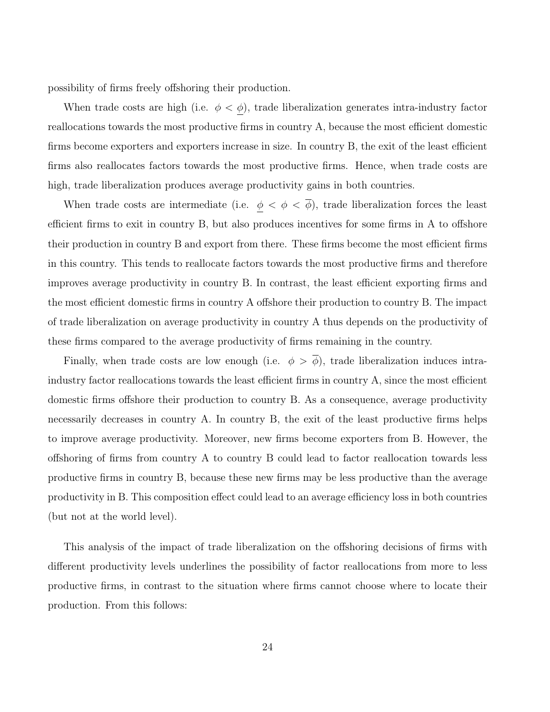possibility of firms freely offshoring their production.

When trade costs are high (i.e.  $\phi < \phi$ ), trade liberalization generates intra-industry factor reallocations towards the most productive firms in country A, because the most efficient domestic firms become exporters and exporters increase in size. In country B, the exit of the least efficient firms also reallocates factors towards the most productive firms. Hence, when trade costs are high, trade liberalization produces average productivity gains in both countries.

When trade costs are intermediate (i.e.  $\phi < \phi < \overline{\phi}$ ), trade liberalization forces the least efficient firms to exit in country B, but also produces incentives for some firms in A to offshore their production in country B and export from there. These firms become the most efficient firms in this country. This tends to reallocate factors towards the most productive firms and therefore improves average productivity in country B. In contrast, the least efficient exporting firms and the most efficient domestic firms in country A offshore their production to country B. The impact of trade liberalization on average productivity in country A thus depends on the productivity of these firms compared to the average productivity of firms remaining in the country.

Finally, when trade costs are low enough (i.e.  $\phi > \overline{\phi}$ ), trade liberalization induces intraindustry factor reallocations towards the least efficient firms in country A, since the most efficient domestic firms offshore their production to country B. As a consequence, average productivity necessarily decreases in country A. In country B, the exit of the least productive firms helps to improve average productivity. Moreover, new firms become exporters from B. However, the offshoring of firms from country A to country B could lead to factor reallocation towards less productive firms in country B, because these new firms may be less productive than the average productivity in B. This composition effect could lead to an average efficiency loss in both countries (but not at the world level).

This analysis of the impact of trade liberalization on the offshoring decisions of firms with different productivity levels underlines the possibility of factor reallocations from more to less productive firms, in contrast to the situation where firms cannot choose where to locate their production. From this follows: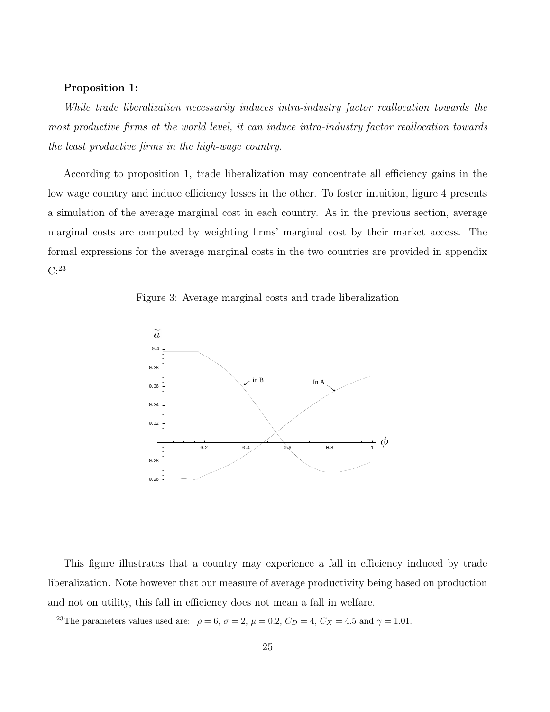#### Proposition 1:

While trade liberalization necessarily induces intra-industry factor reallocation towards the most productive firms at the world level, it can induce intra-industry factor reallocation towards the least productive firms in the high-wage country.

According to proposition 1, trade liberalization may concentrate all efficiency gains in the low wage country and induce efficiency losses in the other. To foster intuition, figure 4 presents a simulation of the average marginal cost in each country. As in the previous section, average marginal costs are computed by weighting firms' marginal cost by their market access. The formal expressions for the average marginal costs in the two countries are provided in appendix C:[23](#page-30-0)

Figure 3: Average marginal costs and trade liberalization



This figure illustrates that a country may experience a fall in efficiency induced by trade liberalization. Note however that our measure of average productivity being based on production and not on utility, this fall in efficiency does not mean a fall in welfare.

<span id="page-30-0"></span><sup>&</sup>lt;sup>23</sup>The parameters values used are:  $\rho = 6$ ,  $\sigma = 2$ ,  $\mu = 0.2$ ,  $C_D = 4$ ,  $C_X = 4.5$  and  $\gamma = 1.01$ .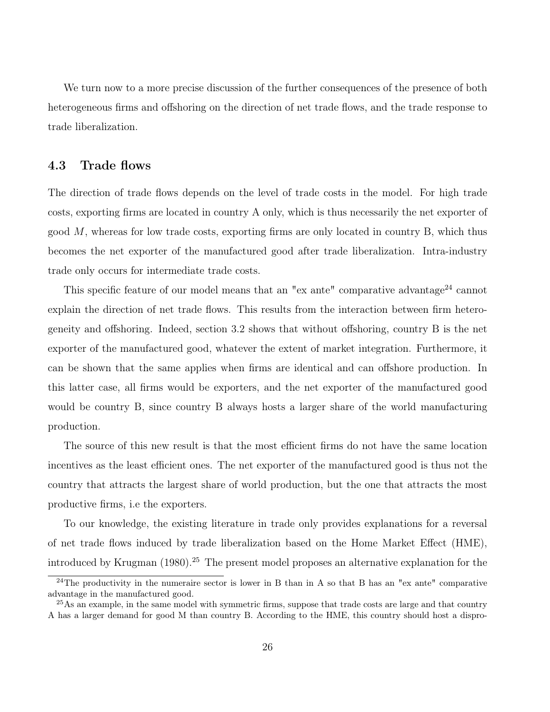We turn now to a more precise discussion of the further consequences of the presence of both heterogeneous firms and offshoring on the direction of net trade flows, and the trade response to trade liberalization.

#### 4.3 Trade flows

The direction of trade flows depends on the level of trade costs in the model. For high trade costs, exporting firms are located in country A only, which is thus necessarily the net exporter of good  $M$ , whereas for low trade costs, exporting firms are only located in country  $B$ , which thus becomes the net exporter of the manufactured good after trade liberalization. Intra-industry trade only occurs for intermediate trade costs.

This specific feature of our model means that an "ex ante" comparative advantage<sup>[24](#page-31-0)</sup> cannot explain the direction of net trade flows. This results from the interaction between firm heterogeneity and offshoring. Indeed, section 3.2 shows that without offshoring, country B is the net exporter of the manufactured good, whatever the extent of market integration. Furthermore, it can be shown that the same applies when firms are identical and can offshore production. In this latter case, all firms would be exporters, and the net exporter of the manufactured good would be country B, since country B always hosts a larger share of the world manufacturing production.

The source of this new result is that the most efficient firms do not have the same location incentives as the least efficient ones. The net exporter of the manufactured good is thus not the country that attracts the largest share of world production, but the one that attracts the most productive firms, i.e the exporters.

To our knowledge, the existing literature in trade only provides explanations for a reversal of net trade flows induced by trade liberalization based on the Home Market Effect (HME), introduced by Krugman  $(1980)$ .<sup>[25](#page-31-1)</sup> The present model proposes an alternative explanation for the

<span id="page-31-0"></span><sup>&</sup>lt;sup>24</sup>The productivity in the numeraire sector is lower in B than in A so that B has an "ex ante" comparative advantage in the manufactured good.

<span id="page-31-1"></span><sup>&</sup>lt;sup>25</sup>As an example, in the same model with symmetric firms, suppose that trade costs are large and that country A has a larger demand for good M than country B. According to the HME, this country should host a dispro-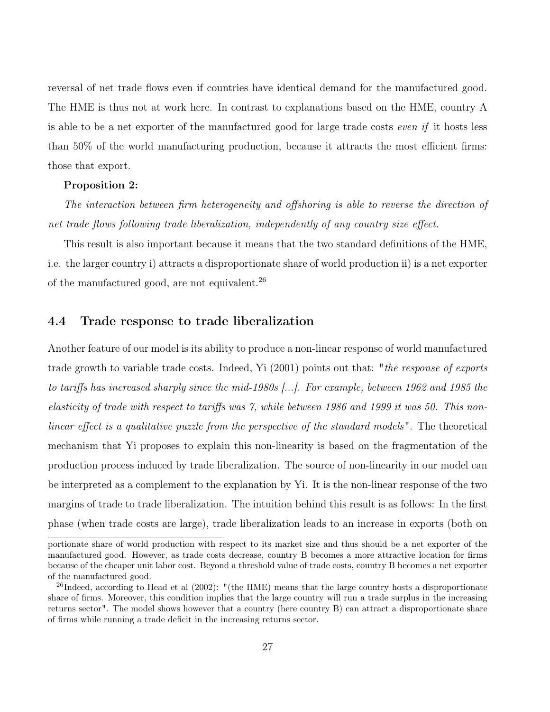reversal of net trade flows even if countries have identical demand for the manufactured good. The HME is thus not at work here. In contrast to explanations based on the HME, country A is able to be a net exporter of the manufactured good for large trade costs even if it hosts less than 50% of the world manufacturing production, because it attracts the most efficient firms: those that export.

#### Proposition 2:

The interaction between firm heterogeneity and offshoring is able to reverse the direction of net trade flows following trade liberalization, independently of any country size effect.

This result is also important because it means that the two standard definitions of the HME, i.e. the larger country i) attracts a disproportionate share of world production ii) is a net exporter of the manufactured good, are not equivalent.[26](#page-32-0)

#### 4.4 Trade response to trade liberalization

Another feature of our model is its ability to produce a non-linear response of world manufactured trade growth to variable trade costs. Indeed, Yi (2001) points out that: "*the response of exports* to tariffs has increased sharply since the mid-1980s [...]. For example, between 1962 and 1985 the elasticity of trade with respect to tariffs was 7, while between 1986 and 1999 it was 50. This nonlinear effect is a qualitative puzzle from the perspective of the standard models ". The theoretical mechanism that Yi proposes to explain this non-linearity is based on the fragmentation of the production process induced by trade liberalization. The source of non-linearity in our model can be interpreted as a complement to the explanation by Yi. It is the non-linear response of the two margins of trade to trade liberalization. The intuition behind this result is as follows: In the first phase (when trade costs are large), trade liberalization leads to an increase in exports (both on

portionate share of world production with respect to its market size and thus should be a net exporter of the manufactured good. However, as trade costs decrease, country B becomes a more attractive location for firms because of the cheaper unit labor cost. Beyond a threshold value of trade costs, country B becomes a net exporter of the manufactured good.

<span id="page-32-0"></span><sup>&</sup>lt;sup>26</sup>Indeed, according to Head et al  $(2002)$ : "(the HME) means that the large country hosts a disproportionate share of firms. Moreover, this condition implies that the large country will run a trade surplus in the increasing returns sector". The model shows however that a country (here country B) can attract a disproportionate share of firms while running a trade deficit in the increasing returns sector.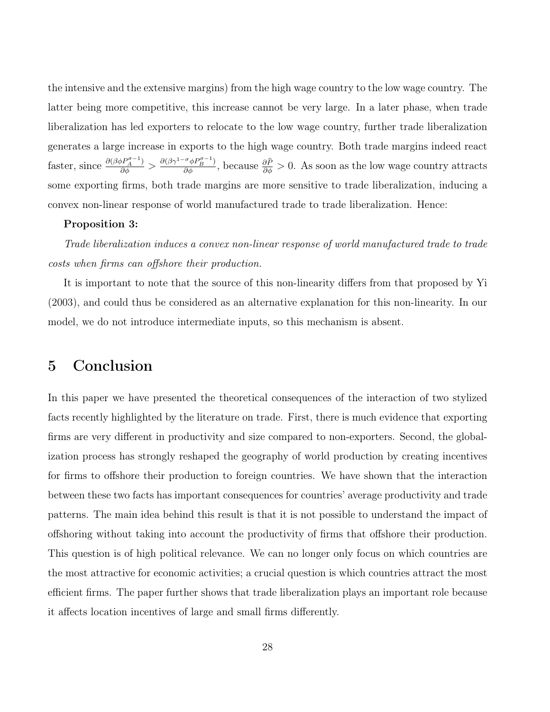the intensive and the extensive margins) from the high wage country to the low wage country. The latter being more competitive, this increase cannot be very large. In a later phase, when trade liberalization has led exporters to relocate to the low wage country, further trade liberalization generates a large increase in exports to the high wage country. Both trade margins indeed react faster, since  $\frac{\partial(\beta \phi P^{\sigma-1}_{A})}{\partial \phi} > \frac{\partial(\beta \gamma^{1-\sigma} \phi P^{\sigma-1}_{B})}{\partial \phi}$ , because  $\frac{\partial \hat{P}}{\partial \phi} > 0$ . As soon as the low wage country attracts some exporting firms, both trade margins are more sensitive to trade liberalization, inducing a convex non-linear response of world manufactured trade to trade liberalization. Hence:

#### Proposition 3:

Trade liberalization induces a convex non-linear response of world manufactured trade to trade costs when firms can offshore their production.

It is important to note that the source of this non-linearity differs from that proposed by Yi (2003), and could thus be considered as an alternative explanation for this non-linearity. In our model, we do not introduce intermediate inputs, so this mechanism is absent.

### 5 Conclusion

In this paper we have presented the theoretical consequences of the interaction of two stylized facts recently highlighted by the literature on trade. First, there is much evidence that exporting firms are very different in productivity and size compared to non-exporters. Second, the globalization process has strongly reshaped the geography of world production by creating incentives for firms to offshore their production to foreign countries. We have shown that the interaction between these two facts has important consequences for countries' average productivity and trade patterns. The main idea behind this result is that it is not possible to understand the impact of offshoring without taking into account the productivity of firms that offshore their production. This question is of high political relevance. We can no longer only focus on which countries are the most attractive for economic activities; a crucial question is which countries attract the most efficient firms. The paper further shows that trade liberalization plays an important role because it affects location incentives of large and small firms differently.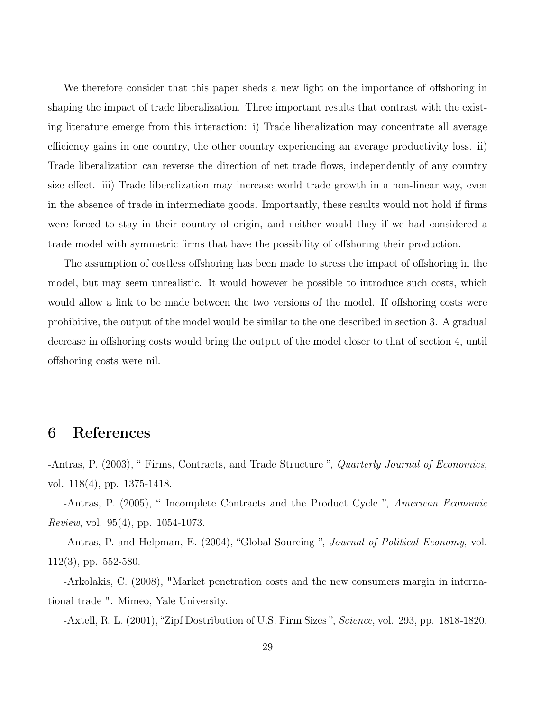We therefore consider that this paper sheds a new light on the importance of offshoring in shaping the impact of trade liberalization. Three important results that contrast with the existing literature emerge from this interaction: i) Trade liberalization may concentrate all average efficiency gains in one country, the other country experiencing an average productivity loss. ii) Trade liberalization can reverse the direction of net trade flows, independently of any country size effect. iii) Trade liberalization may increase world trade growth in a non-linear way, even in the absence of trade in intermediate goods. Importantly, these results would not hold if firms were forced to stay in their country of origin, and neither would they if we had considered a trade model with symmetric firms that have the possibility of offshoring their production.

The assumption of costless offshoring has been made to stress the impact of offshoring in the model, but may seem unrealistic. It would however be possible to introduce such costs, which would allow a link to be made between the two versions of the model. If offshoring costs were prohibitive, the output of the model would be similar to the one described in section 3. A gradual decrease in offshoring costs would bring the output of the model closer to that of section 4, until offshoring costs were nil.

### 6 References

-Antras, P. (2003), "Firms, Contracts, and Trade Structure", Quarterly Journal of Economics, vol. 118(4), pp. 1375-1418.

-Antras, P. (2005), " Incomplete Contracts and the Product Cycle ", American Economic Review, vol. 95(4), pp. 1054-1073.

-Antras, P. and Helpman, E. (2004), "Global Sourcing ", Journal of Political Economy, vol. 112(3), pp. 552-580.

-Arkolakis, C. (2008), "Market penetration costs and the new consumers margin in international trade ". Mimeo, Yale University.

-Axtell, R. L. (2001), "Zipf Dostribution of U.S. Firm Sizes ", Science, vol. 293, pp. 1818-1820.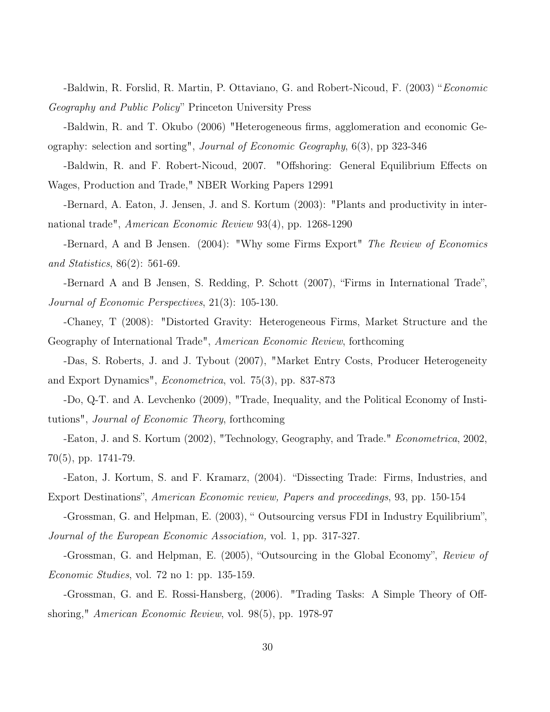-Baldwin, R. Forslid, R. Martin, P. Ottaviano, G. and Robert-Nicoud, F. (2003) "Economic Geography and Public Policy" Princeton University Press

-Baldwin, R. and T. Okubo (2006) "Heterogeneous firms, agglomeration and economic Geography: selection and sorting", Journal of Economic Geography, 6(3), pp 323-346

-Baldwin, R. and F. Robert-Nicoud, 2007. "Offshoring: General Equilibrium Effects on Wages, Production and Trade," NBER Working Papers 12991

-Bernard, A. Eaton, J. Jensen, J. and S. Kortum (2003): "Plants and productivity in international trade", American Economic Review 93(4), pp. 1268-1290

-Bernard, A and B Jensen. (2004): "Why some Firms Export" The Review of Economics and Statistics, 86(2): 561-69.

-Bernard A and B Jensen, S. Redding, P. Schott (2007), "Firms in International Trade", Journal of Economic Perspectives, 21(3): 105-130.

-Chaney, T (2008): "Distorted Gravity: Heterogeneous Firms, Market Structure and the Geography of International Trade", American Economic Review, forthcoming

-Das, S. Roberts, J. and J. Tybout (2007), "Market Entry Costs, Producer Heterogeneity and Export Dynamics", Econometrica, vol. 75(3), pp. 837-873

-Do, Q-T. and A. Levchenko (2009), "Trade, Inequality, and the Political Economy of Institutions", Journal of Economic Theory, forthcoming

-Eaton, J. and S. Kortum (2002), "Technology, Geography, and Trade." Econometrica, 2002, 70(5), pp. 1741-79.

-Eaton, J. Kortum, S. and F. Kramarz, (2004). "Dissecting Trade: Firms, Industries, and Export Destinations", American Economic review, Papers and proceedings, 93, pp. 150-154

-Grossman, G. and Helpman, E. (2003), " Outsourcing versus FDI in Industry Equilibrium", Journal of the European Economic Association, vol. 1, pp. 317-327.

-Grossman, G. and Helpman, E. (2005), "Outsourcing in the Global Economy", Review of Economic Studies, vol. 72 no 1: pp. 135-159.

-Grossman, G. and E. Rossi-Hansberg, (2006). "Trading Tasks: A Simple Theory of Offshoring," American Economic Review, vol. 98(5), pp. 1978-97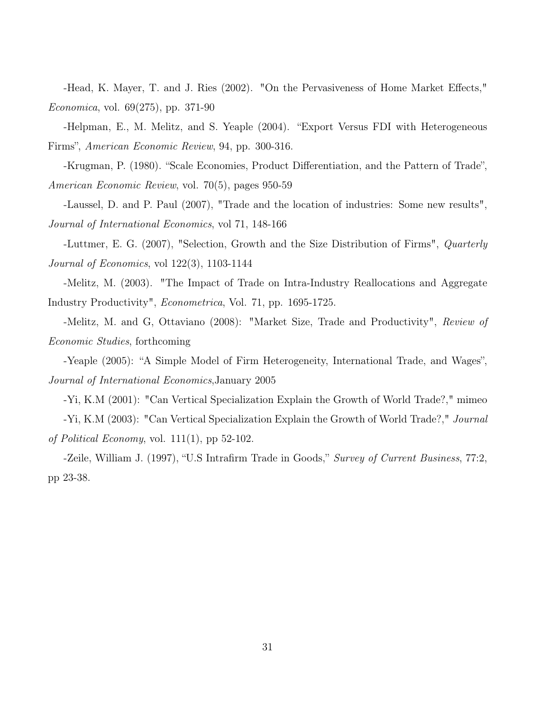-Head, K. Mayer, T. and J. Ries (2002). "On the Pervasiveness of Home Market Effects," Economica, vol. 69(275), pp. 371-90

-Helpman, E., M. Melitz, and S. Yeaple (2004). "Export Versus FDI with Heterogeneous Firms", American Economic Review, 94, pp. 300-316.

-Krugman, P. (1980). "Scale Economies, Product Differentiation, and the Pattern of Trade", American Economic Review, vol. 70(5), pages 950-59

-Laussel, D. and P. Paul (2007), "Trade and the location of industries: Some new results", Journal of International Economics, vol 71, 148-166

-Luttmer, E. G. (2007), "Selection, Growth and the Size Distribution of Firms", Quarterly Journal of Economics, vol 122(3), 1103-1144

-Melitz, M. (2003). "The Impact of Trade on Intra-Industry Reallocations and Aggregate Industry Productivity", Econometrica, Vol. 71, pp. 1695-1725.

-Melitz, M. and G, Ottaviano (2008): "Market Size, Trade and Productivity", Review of Economic Studies, forthcoming

-Yeaple (2005): "A Simple Model of Firm Heterogeneity, International Trade, and Wages", Journal of International Economics,January 2005

-Yi, K.M (2001): "Can Vertical Specialization Explain the Growth of World Trade?," mimeo -Yi, K.M (2003): "Can Vertical Specialization Explain the Growth of World Trade?," Journal of Political Economy, vol.  $111(1)$ , pp 52-102.

-Zeile, William J. (1997), "U.S Intrafirm Trade in Goods," Survey of Current Business, 77:2, pp 23-38.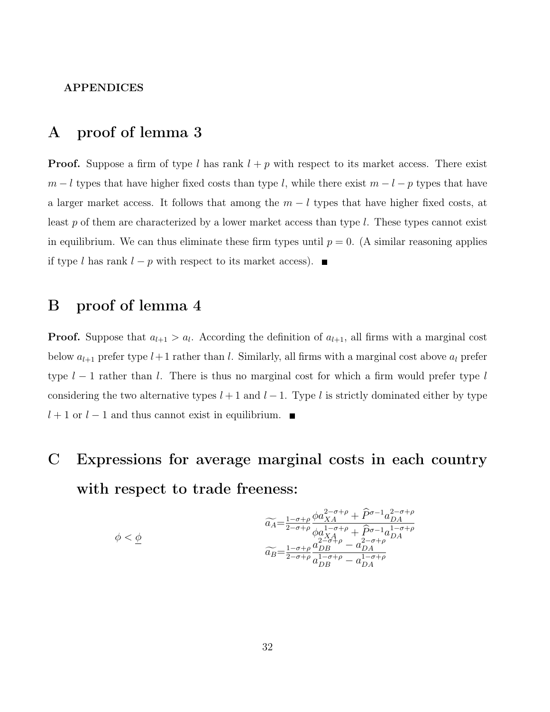#### APPENDICES

### A proof of lemma 3

**Proof.** Suppose a firm of type l has rank  $l + p$  with respect to its market access. There exist  $m - l$  types that have higher fixed costs than type l, while there exist  $m - l - p$  types that have a larger market access. It follows that among the  $m - l$  types that have higher fixed costs, at least  $p$  of them are characterized by a lower market access than type  $l$ . These types cannot exist in equilibrium. We can thus eliminate these firm types until  $p = 0$ . (A similar reasoning applies if type l has rank  $l - p$  with respect to its market access).  $\blacksquare$ 

### B proof of lemma 4

**Proof.** Suppose that  $a_{l+1} > a_l$ . According the definition of  $a_{l+1}$ , all firms with a marginal cost below  $a_{l+1}$  prefer type  $l+1$  rather than l. Similarly, all firms with a marginal cost above  $a_l$  prefer type  $l-1$  rather than l. There is thus no marginal cost for which a firm would prefer type l considering the two alternative types  $l + 1$  and  $l - 1$ . Type l is strictly dominated either by type  $l+1$  or  $l-1$  and thus cannot exist in equilibrium. ■

## C Expressions for average marginal costs in each country with respect to trade freeness:

$$
\widetilde{a_A} = \frac{1-\sigma+\rho}{2-\sigma+\rho} \frac{\phi a_{XA}^{2-\sigma+\rho} + \widehat{P}^{\sigma-1} a_{DA}^{2-\sigma+\rho}}{\phi a_{XA}^{1-\sigma+\rho} + \widehat{P}^{\sigma-1} a_{DA}^{1-\sigma+\rho}}
$$
\n
$$
\widetilde{a_B} = \frac{1-\sigma+\rho}{2-\sigma+\rho} \frac{a_{DB}^{2-\sigma+\rho} - a_{DA}^{2-\sigma+\rho}}{a_{DB}^{1-\sigma+\rho} - a_{DA}^{1-\sigma+\rho}}
$$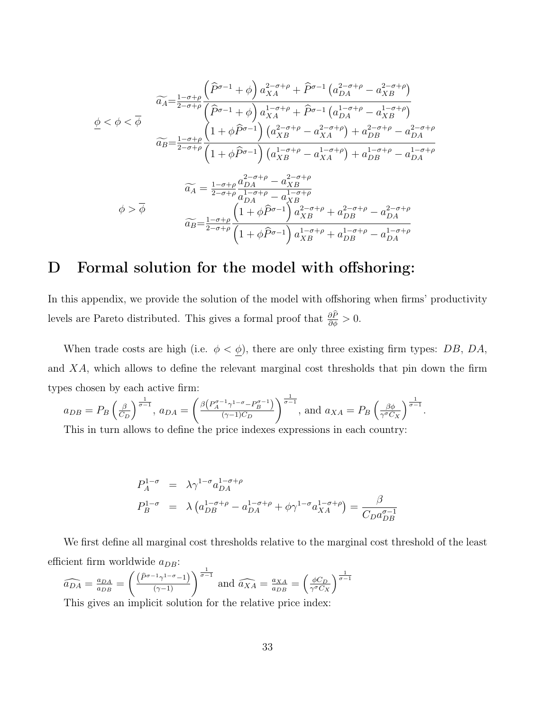$$
\widetilde{a}_{A} = \frac{1-\sigma+\rho}{2-\sigma+\rho} \frac{\left(\widehat{P}^{\sigma-1} + \phi\right) a_{XA}^{2-\sigma+\rho} + \widehat{P}^{\sigma-1} \left(a_{DA}^{2-\sigma+\rho} - a_{XB}^{2-\sigma+\rho}\right)}{\left(\widehat{P}^{\sigma-1} + \phi\right) a_{XA}^{1-\sigma+\rho} + \widehat{P}^{\sigma-1} \left(a_{DA}^{1-\sigma+\rho} - a_{XB}^{1-\sigma+\rho}\right)}
$$
\n
$$
\widetilde{a}_{B} = \frac{1-\sigma+\rho}{2-\sigma+\rho} \frac{\left(1+\phi\widehat{P}^{\sigma-1}\right) \left(a_{XB}^{2-\sigma+\rho} - a_{XA}^{2-\sigma+\rho}\right) + a_{DB}^{2-\sigma+\rho} - a_{DA}^{2-\sigma+\rho}}{\left(1+\phi\widehat{P}^{\sigma-1}\right) \left(a_{XB}^{1-\sigma+\rho} - a_{XA}^{1-\sigma+\rho}\right) + a_{DB}^{1-\sigma+\rho} - a_{DA}^{1-\sigma+\rho}}
$$
\n
$$
\widetilde{a}_{A} = \frac{1-\sigma+\rho}{2-\sigma+\rho} \frac{a_{DA}^{2-\sigma+\rho} - a_{XB}^{2-\sigma+\rho}}{a_{DA}^{1-\sigma+\rho} - a_{XB}^{1-\sigma+\rho}}
$$
\n
$$
\widetilde{a}_{B} = \frac{1-\sigma+\rho}{2-\sigma+\rho} \frac{\left(1+\phi\widehat{P}^{\sigma-1}\right) a_{XB}^{2-\sigma+\rho} + a_{DB}^{2-\sigma+\rho} - a_{DA}^{2-\sigma+\rho}}{\left(1+\phi\widehat{P}^{\sigma-1}\right) a_{XB}^{1-\sigma+\rho} + a_{DB}^{1-\sigma+\rho} - a_{DA}^{1-\sigma+\rho}}
$$

### D Formal solution for the model with offshoring:

In this appendix, we provide the solution of the model with offshoring when firms' productivity levels are Pareto distributed. This gives a formal proof that  $\frac{\partial P}{\partial \phi} > 0$ .

When trade costs are high (i.e.  $\phi < \phi$ ), there are only three existing firm types: DB, DA, and XA, which allows to define the relevant marginal cost thresholds that pin down the firm types chosen by each active firm:

.

$$
a_{DB} = P_B \left(\frac{\beta}{C_D}\right)^{\frac{1}{\sigma - 1}}, a_{DA} = \left(\frac{\beta \left(P_A^{\sigma - 1} \gamma^{1 - \sigma} - P_B^{\sigma - 1}\right)}{(\gamma - 1)C_D}\right)^{\frac{1}{\sigma - 1}}, \text{ and } a_{XA} = P_B \left(\frac{\beta \phi}{\gamma^{\sigma} C_X}\right)^{\frac{1}{\sigma - 1}}
$$
  
This in turn allows to define the price induces expressions in each country.

This in turn allows to define the price indexes expressions in each country:

$$
P_A^{1-\sigma} = \lambda \gamma^{1-\sigma} a_{DA}^{1-\sigma+\rho}
$$
  
\n
$$
P_B^{1-\sigma} = \lambda \left( a_{DB}^{1-\sigma+\rho} - a_{DA}^{1-\sigma+\rho} + \phi \gamma^{1-\sigma} a_{XA}^{1-\sigma+\rho} \right) = \frac{\beta}{C_D a_{DB}^{\sigma-1}}
$$

We first define all marginal cost thresholds relative to the marginal cost threshold of the least efficient firm worldwide  $a_{DB}$ :

$$
\widehat{a_{DA}} = \frac{a_{DA}}{a_{DB}} = \left(\frac{\left(\widehat{P}^{\sigma-1}\gamma^{1-\sigma}-1\right)}{\left(\gamma-1\right)}\right)^{\frac{1}{\sigma-1}} \text{ and } \widehat{a_{XA}} = \frac{a_{XA}}{a_{DB}} = \left(\frac{\phi C_D}{\gamma^{\sigma} C_X}\right)^{\frac{1}{\sigma-1}}
$$

This gives an implicit solution for the relative price index: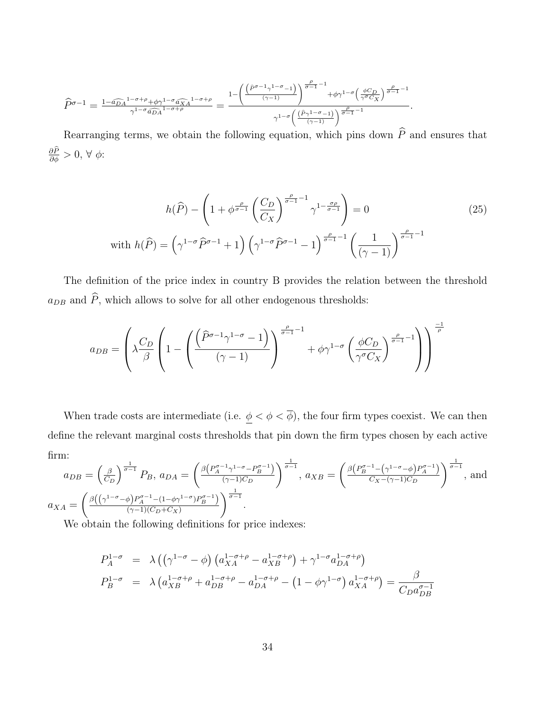$$
\widehat{P}^{\sigma-1} = \tfrac{1-\widehat{a_{DA}}^{1-\sigma+\rho}+\phi\gamma^{1-\sigma}\widehat{a_{XA}}^{1-\sigma+\rho}}{\gamma^{1-\sigma}\widehat{a_{DA}}^{1-\sigma+\rho}} = \tfrac{1-\left(\frac{\left(\widehat{P}^{\sigma-1}\gamma^{1-\sigma}-1\right)}{(\gamma-1)}\right)^{\frac{\rho}{\sigma-1}-1}+\phi\gamma^{1-\sigma}\left(\frac{\phi C_D}{\gamma^{\sigma}C_X}\right)^{\frac{\rho}{\sigma-1}-1}}{\gamma^{1-\sigma}\left(\frac{\left(\widehat{P}\gamma^{1-\sigma}-1\right)}{(\gamma-1)}\right)^{\frac{\rho}{\sigma-1}-1}}.
$$

Rearranging terms, we obtain the following equation, which pins down  $\hat{P}$  and ensures that  $\frac{\partial P}{\partial \phi} > 0, \forall \phi$ :

$$
h(\widehat{P}) - \left(1 + \phi^{\frac{\rho}{\sigma-1}}\left(\frac{C_D}{C_X}\right)^{\frac{\rho}{\sigma-1}-1} \gamma^{1-\frac{\sigma\rho}{\sigma-1}}\right) = 0
$$
\n
$$
\text{with } h(\widehat{P}) = \left(\gamma^{1-\sigma}\widehat{P}^{\sigma-1} + 1\right)\left(\gamma^{1-\sigma}\widehat{P}^{\sigma-1} - 1\right)^{\frac{\rho}{\sigma-1}-1}\left(\frac{1}{(\gamma-1)}\right)^{\frac{\rho}{\sigma-1}-1}
$$
\n
$$
(25)
$$

The definition of the price index in country B provides the relation between the threshold  $a_{DB}$  and  $\widehat{P},$  which allows to solve for all other endogenous thresholds:

$$
a_{DB} = \left(\lambda \frac{C_D}{\beta} \left(1 - \left(\frac{\left(\widehat{P}^{\sigma-1} \gamma^{1-\sigma} - 1\right)}{(\gamma - 1)}\right)^{\frac{\rho}{\sigma-1} - 1} + \phi \gamma^{1-\sigma} \left(\frac{\phi C_D}{\gamma^{\sigma} C_X}\right)^{\frac{\rho}{\sigma-1} - 1}\right)\right)^{\frac{-1}{\rho}}
$$

When trade costs are intermediate (i.e.  $\underline{\phi} < \phi < \overline{\phi}$ ), the four firm types coexist. We can then define the relevant marginal costs thresholds that pin down the firm types chosen by each active firm:

$$
a_{DB} = \left(\frac{\beta}{C_D}\right)^{\frac{1}{\sigma - 1}} P_B, \ a_{DA} = \left(\frac{\beta \left(P_A^{\sigma - 1} \gamma^{1 - \sigma} - P_B^{\sigma - 1}\right)}{(\gamma - 1)C_D}\right)^{\frac{1}{\sigma - 1}}, \ a_{XB} = \left(\frac{\beta \left(P_B^{\sigma - 1} - \left(\gamma^{1 - \sigma} - \phi\right)P_A^{\sigma - 1}\right)}{C_X - (\gamma - 1)C_D}\right)^{\frac{1}{\sigma - 1}}, \text{ and}
$$

$$
a_{XA} = \left(\frac{\beta \left(\left(\gamma^{1 - \sigma} - \phi\right)P_A^{\sigma - 1} - \left(1 - \phi \gamma^{1 - \sigma}\right)P_B^{\sigma - 1}\right)}{(\gamma - 1)(C_D + C_X)}\right)^{\frac{1}{\sigma - 1}}.
$$

We obtain the following definitions for price indexes:

$$
P_A^{1-\sigma} = \lambda ((\gamma^{1-\sigma} - \phi) (a_{XA}^{1-\sigma+\rho} - a_{XB}^{1-\sigma+\rho}) + \gamma^{1-\sigma} a_{DA}^{1-\sigma+\rho})
$$
  
\n
$$
P_B^{1-\sigma} = \lambda (a_{XB}^{1-\sigma+\rho} + a_{DB}^{1-\sigma+\rho} - a_{DA}^{1-\sigma+\rho} - (1-\phi\gamma^{1-\sigma}) a_{XA}^{1-\sigma+\rho}) = \frac{\beta}{C_D a_{DB}^{\sigma-1}}
$$